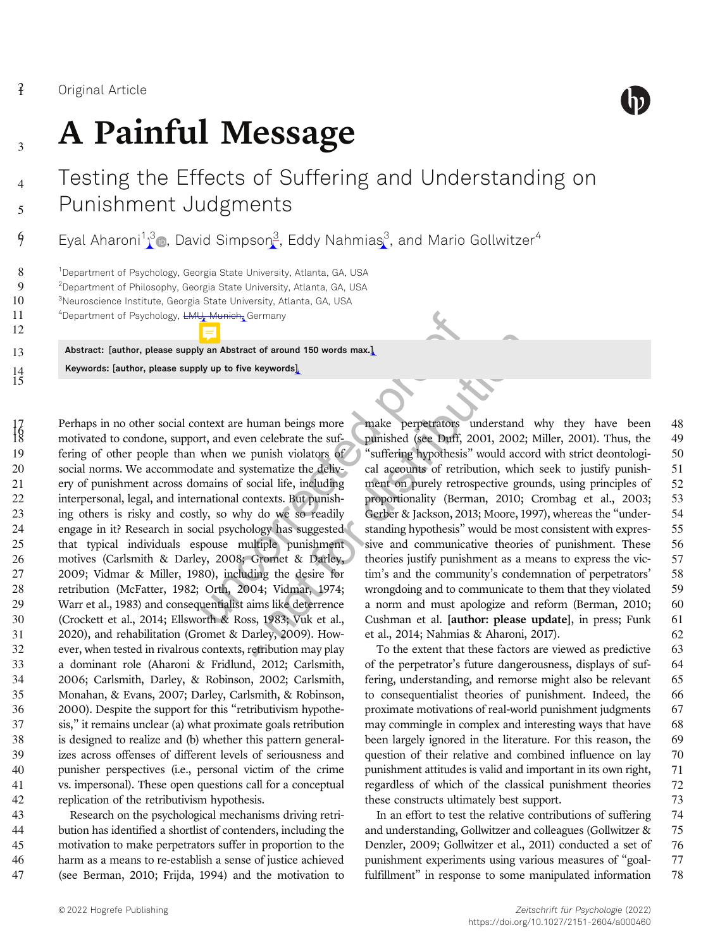6

8<br>9

10

11 <sup>4</sup>

12

 $^{14}_{15}$ 



# <sub>3</sub> A Painful Message

## Testing the Effects of Suffering and Understanding on <sub>5</sub> Punishment Judgments

 $\,9\qquad \,$  Eyal Aharoni $^{1,3}$  , David Simpson $^3$ , Eddy Nahmias $^3$ , and Mario Gollwitzer $^4$ 

<sup>1</sup>Department of Psychology, Georgia State University, Atlanta, GA, USA

 $9$   $3$   $^2$ Department of Philosophy, Georgia State University, Atlanta, GA, USA

<sup>3</sup>Neuroscience Institute, Georgia State University, Atlanta, GA, USA

<sup>4</sup>Department of Psychology, <del>LMU, Munich,</del> Germany

13 Abstract: [author, please supply an Abstract of around 150 words max.] Keywords: [author, please supply up to five keywords]

Where the Germany<br>
in a Abstract of around 150 words max.]<br>
Us up to five keywords]<br>
Us up to five keywords]<br>
Intext are human beings more<br>
intext are human beings more<br>
intext are human beings more<br>
make perpetrators is<br> 17 Perhaps in no other social context are human beings more<br>18 motivated to condone, support, and even celebrate the sufmotivated to condone, support, and even celebrate the suf- fering of other people than when we punish violators of social norms. We accommodate and systematize the deliv- ery of punishment across domains of social life, including interpersonal, legal, and international contexts. But punish- ing others is risky and costly, so why do we so readily engage in it? Research in social psychology has suggested that typical individuals espouse multiple punishment motives (Carlsmith & Darley, 2008; Gromet & Darley, 2009; Vidmar & Miller, 1980), including the desire for retribution (McFatter, 1982; Orth, 2004; Vidmar, 1974; Warr et al., 1983) and consequentialist aims like deterrence (Crockett et al., 2014; Ellsworth & Ross, 1983; Vuk et al., 2020), and rehabilitation (Gromet & Darley, 2009). How- ever, when tested in rivalrous contexts, retribution may play a dominant role (Aharoni & Fridlund, 2012; Carlsmith, 2006; Carlsmith, Darley, & Robinson, 2002; Carlsmith, Monahan, & Evans, 2007; Darley, Carlsmith, & Robinson, 2000). Despite the support for this "retributivism hypothe- sis," it remains unclear (a) what proximate goals retribution is designed to realize and (b) whether this pattern general- izes across offenses of different levels of seriousness and punisher perspectives (i.e., personal victim of the crime vs. impersonal). These open questions call for a conceptual replication of the retributivism hypothesis.

 Research on the psychological mechanisms driving retri- bution has identified a shortlist of contenders, including the motivation to make perpetrators suffer in proportion to the harm as a means to re-establish a sense of justice achieved (see Berman, 2010; Frijda, 1994) and the motivation to

150 words max.]<br>
keywords]<br>
keywords]<br>
uman beings more make perpetrators understand<br>
n celebrate the suf-<br>
pumished (see Duff, 2001, 2002;<br>
pumish violators of "suffering hypothesis" would acco<br>
termatize the deliv-<br>
cal make perpetrators understand why they have been 48 punished (see Duff, 2001, 2002; Miller, 2001). Thus, the 49 "suffering hypothesis" would accord with strict deontologi- 50 cal accounts of retribution, which seek to justify punish- 51 ment on purely retrospective grounds, using principles of 52 proportionality (Berman, 2010; Crombag et al., 2003; 53 Gerber & Jackson, 2013; Moore, 1997), whereas the "under-<br>54 standing hypothesis" would be most consistent with expres- 55 sive and communicative theories of punishment. These 56 theories justify punishment as a means to express the vic- 57 tim's and the community's condemnation of perpetrators' 58 wrongdoing and to communicate to them that they violated 59 a norm and must apologize and reform (Berman, 2010; 60 Cushman et al. [author: please update], in press; Funk 61 et al., 2014; Nahmias & Aharoni, 2017). 62

To the extent that these factors are viewed as predictive 63 of the perpetrator's future dangerousness, displays of suf- 64 fering, understanding, and remorse might also be relevant 65 to consequentialist theories of punishment. Indeed, the 66 proximate motivations of real-world punishment judgments 67 may commingle in complex and interesting ways that have 68 been largely ignored in the literature. For this reason, the 69 question of their relative and combined influence on lay 70 punishment attitudes is valid and important in its own right, 71 regardless of which of the classical punishment theories 72 these constructs ultimately best support.  $73$ 

In an effort to test the relative contributions of suffering 74 and understanding, Gollwitzer and colleagues (Gollwitzer & 75 Denzler, 2009; Gollwitzer et al., 2011) conducted a set of 76 punishment experiments using various measures of "goal- 77 fulfillment" in response to some manipulated information 78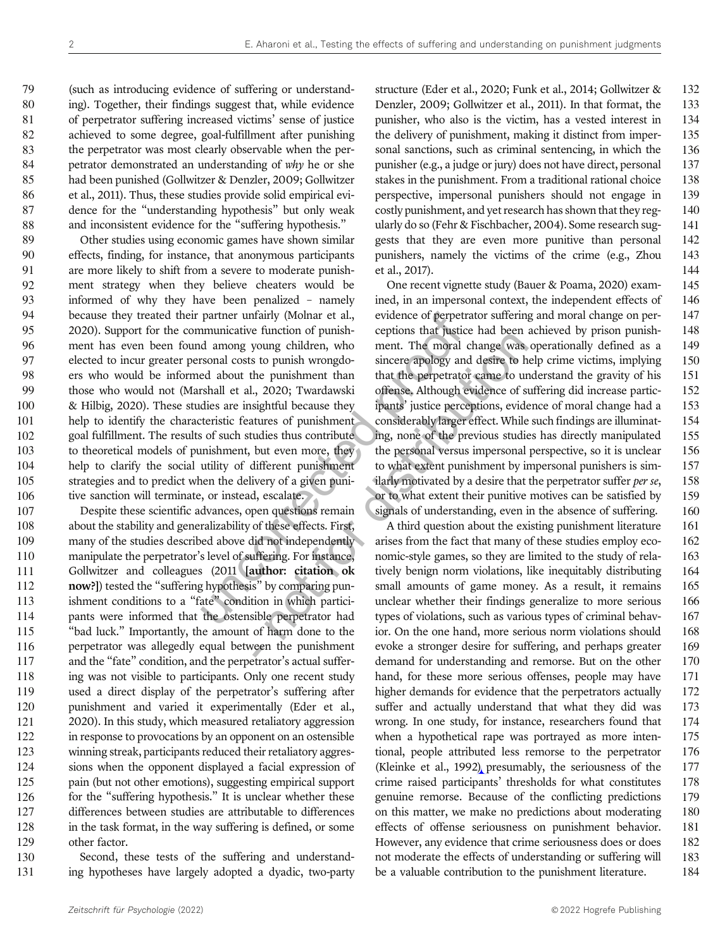(such as introducing evidence of suffering or understand- ing). Together, their findings suggest that, while evidence of perpetrator suffering increased victims' sense of justice achieved to some degree, goal-fulfillment after punishing the perpetrator was most clearly observable when the per-84 petrator demonstrated an understanding of why he or she had been punished (Gollwitzer & Denzler, 2009; Gollwitzer et al., 2011). Thus, these studies provide solid empirical evi- dence for the "understanding hypothesis" but only weak 88 and inconsistent evidence for the "suffering hypothesis."

partner unfairly (Molnar et al., evidence of perpetra<br>
municative function of punish-<br>
d among young children, who<br>
ement. The moral c<br>
strong costs to punish wrong<br>
do sincere apology and<br>
ded about the punishment than<br>
t Other studies using economic games have shown similar effects, finding, for instance, that anonymous participants are more likely to shift from a severe to moderate punish- ment strategy when they believe cheaters would be informed of why they have been penalized – namely because they treated their partner unfairly (Molnar et al., 2020). Support for the communicative function of punish- ment has even been found among young children, who elected to incur greater personal costs to punish wrongdo- ers who would be informed about the punishment than those who would not (Marshall et al., 2020; Twardawski & Hilbig, 2020). These studies are insightful because they help to identify the characteristic features of punishment goal fulfillment. The results of such studies thus contribute 103 to theoretical models of punishment, but even more, they help to clarify the social utility of different punishment strategies and to predict when the delivery of a given puni-106 tive sanction will terminate, or instead, escalate.

 Despite these scientific advances, open questions remain about the stability and generalizability of these effects. First, many of the studies described above did not independently manipulate the perpetrator's level of suffering. For instance, Gollwitzer and colleagues (2011 [author: citation ok now?]) tested the "suffering hypothesis" by comparing pun- ishment conditions to a "fate" condition in which partici- pants were informed that the ostensible perpetrator had "bad luck." Importantly, the amount of harm done to the perpetrator was allegedly equal between the punishment and the "fate" condition, and the perpetrator's actual suffer-118 ing was not visible to participants. Only one recent study used a direct display of the perpetrator's suffering after punishment and varied it experimentally (Eder et al., 2020). In this study, which measured retaliatory aggression in response to provocations by an opponent on an ostensible winning streak, participants reduced their retaliatory aggres- sions when the opponent displayed a facial expression of pain (but not other emotions), suggesting empirical support 126 for the "suffering hypothesis." It is unclear whether these differences between studies are attributable to differences 128 in the task format, in the way suffering is defined, or some other factor.

130 Second, these tests of the suffering and understand-131 ing hypotheses have largely adopted a dyadic, two-party structure (Eder et al., 2020; Funk et al., 2014; Gollwitzer & 132 Denzler, 2009; Gollwitzer et al., 2011). In that format, the 133 punisher, who also is the victim, has a vested interest in 134 the delivery of punishment, making it distinct from imper- 135 sonal sanctions, such as criminal sentencing, in which the 136 punisher (e.g., a judge or jury) does not have direct, personal 137 stakes in the punishment. From a traditional rational choice 138 perspective, impersonal punishers should not engage in 139 costly punishment, and yet research has shown that they reg- 140 ularly do so (Fehr & Fischbacher, 2004). Some research sug- 141 gests that they are even more punitive than personal 142 punishers, namely the victims of the crime (e.g., Zhou 143 et al., 2017). 144

relation of purism<br>
relation to the current contract the current contract the current contract to the punishment than<br>
that the perpetrator came to un<br>
a 2020; Twardawski offense, Although evidence of st<br>
sightful because One recent vignette study (Bauer & Poama, 2020) exam- 145 ined, in an impersonal context, the independent effects of 146 evidence of perpetrator suffering and moral change on per- 147 ceptions that justice had been achieved by prison punish- 148 ment. The moral change was operationally defined as a 149 sincere apology and desire to help crime victims, implying 150 that the perpetrator came to understand the gravity of his 151 offense. Although evidence of suffering did increase partic- 152 ipants' justice perceptions, evidence of moral change had a 153 considerably larger effect. While such findings are illuminat- 154 ing, none of the previous studies has directly manipulated 155 the personal versus impersonal perspective, so it is unclear 156 to what extent punishment by impersonal punishers is sim- 157 ilarly motivated by a desire that the perpetrator suffer *per se*,  $158$ or to what extent their punitive motives can be satisfied by 159 signals of understanding, even in the absence of suffering. 160

A third question about the existing punishment literature 161 arises from the fact that many of these studies employ eco- 162 nomic-style games, so they are limited to the study of rela- 163 tively benign norm violations, like inequitably distributing 164 small amounts of game money. As a result, it remains 165 unclear whether their findings generalize to more serious 166 types of violations, such as various types of criminal behav- 167 ior. On the one hand, more serious norm violations should 168 evoke a stronger desire for suffering, and perhaps greater 169 demand for understanding and remorse. But on the other 170 hand, for these more serious offenses, people may have 171 higher demands for evidence that the perpetrators actually 172 suffer and actually understand that what they did was 173 wrong. In one study, for instance, researchers found that 174 when a hypothetical rape was portrayed as more inten- 175 tional, people attributed less remorse to the perpetrator 176 (Kleinke et al., 1992) presumably, the seriousness of the 177 crime raised participants' thresholds for what constitutes 178 genuine remorse. Because of the conflicting predictions 179 on this matter, we make no predictions about moderating 180 effects of offense seriousness on punishment behavior. 181 However, any evidence that crime seriousness does or does 182 not moderate the effects of understanding or suffering will 183 be a valuable contribution to the punishment literature. 184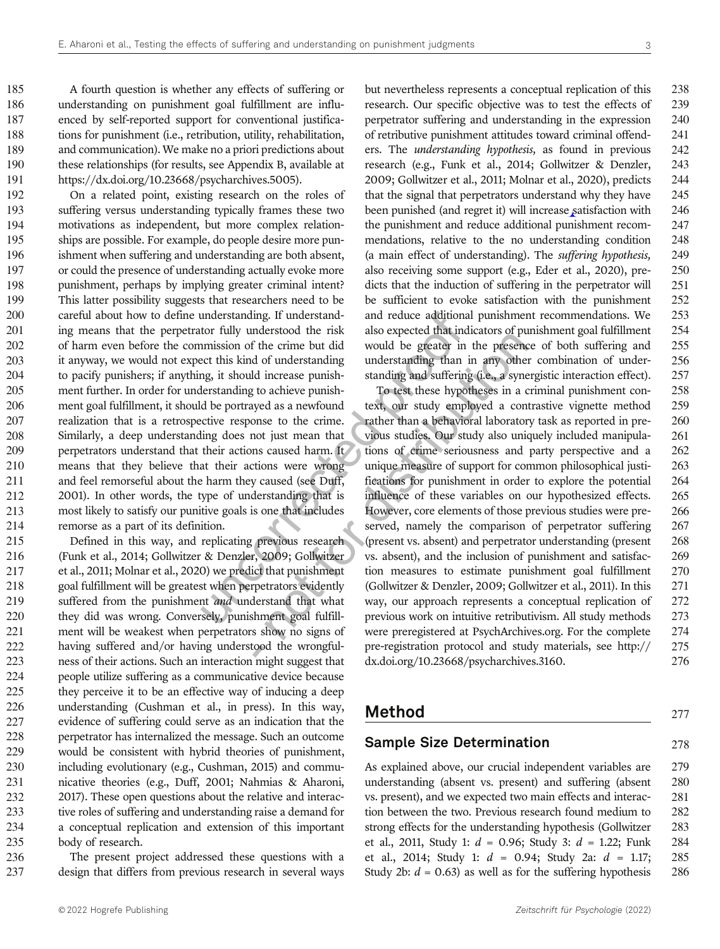A fourth question is whether any effects of suffering or understanding on punishment goal fulfillment are influ- enced by self-reported support for conventional justifica-188 tions for punishment (i.e., retribution, utility, rehabilitation, and communication). We make no a priori predictions about these relationships (for results, see Appendix B, available at https://dx.doi.org/10.23668/psycharchives.5005).

understanding. If understand<br>
tor fully understood the risk also expected that indi<br>
imission of the crime but did would be greater in<br>
eact this kind of understanding to understanding than in<br>
tense provided be portrayed On a related point, existing research on the roles of suffering versus understanding typically frames these two motivations as independent, but more complex relation- ships are possible. For example, do people desire more pun- ishment when suffering and understanding are both absent, or could the presence of understanding actually evoke more punishment, perhaps by implying greater criminal intent? This latter possibility suggests that researchers need to be careful about how to define understanding. If understand-201 ing means that the perpetrator fully understood the risk of harm even before the commission of the crime but did it anyway, we would not expect this kind of understanding to pacify punishers; if anything, it should increase punish- ment further. In order for understanding to achieve punish- ment goal fulfillment, it should be portrayed as a newfound realization that is a retrospective response to the crime. Similarly, a deep understanding does not just mean that 209 perpetrators understand that their actions caused harm. It means that they believe that their actions were wrong and feel remorseful about the harm they caused (see Duff, 2001). In other words, the type of understanding that is most likely to satisfy our punitive goals is one that includes remorse as a part of its definition.

 Defined in this way, and replicating previous research (Funk et al., 2014; Gollwitzer & Denzler, 2009; Gollwitzer et al., 2011; Molnar et al., 2020) we predict that punishment goal fulfillment will be greatest when perpetrators evidently 219 suffered from the punishment and understand that what they did was wrong. Conversely, punishment goal fulfill- ment will be weakest when perpetrators show no signs of having suffered and/or having understood the wrongful- ness of their actions. Such an interaction might suggest that people utilize suffering as a communicative device because they perceive it to be an effective way of inducing a deep understanding (Cushman et al., in press). In this way, evidence of suffering could serve as an indication that the perpetrator has internalized the message. Such an outcome would be consistent with hybrid theories of punishment, including evolutionary (e.g., Cushman, 2015) and commu- nicative theories (e.g., Duff, 2001; Nahmias & Aharoni, 2017). These open questions about the relative and interac- tive roles of suffering and understanding raise a demand for a conceptual replication and extension of this important body of research.

236 The present project addressed these questions with a 237 design that differs from previous research in several ways

but nevertheless represents a conceptual replication of this 238 research. Our specific objective was to test the effects of 239 perpetrator suffering and understanding in the expression 240 of retributive punishment attitudes toward criminal offend- 241 ers. The understanding hypothesis, as found in previous 242 research (e.g., Funk et al., 2014; Gollwitzer & Denzler, 243 2009; Gollwitzer et al., 2011; Molnar et al., 2020), predicts 244 that the signal that perpetrators understand why they have 245 been punished (and regret it) will increase satisfaction with 246 the punishment and reduce additional punishment recom- 247 mendations, relative to the no understanding condition 248 (a main effect of understanding). The suffering hypothesis, 249 also receiving some support (e.g., Eder et al., 2020), pre- 250 dicts that the induction of suffering in the perpetrator will 251 be sufficient to evoke satisfaction with the punishment 252 and reduce additional punishment recommendations. We 253 also expected that indicators of punishment goal fulfillment 254 would be greater in the presence of both suffering and 255 understanding than in any other combination of under- 256 standing and suffering (i.e., a synergistic interaction effect). 257

For the circuit of the circuit and the system and the system and the distribution of parallel increase punish-<br>
In the presenction and suffering (i.e., a synce of dof understanding understanding than in any other<br>
led incr To test these hypotheses in a criminal punishment con- 258 text, our study employed a contrastive vignette method 259 rather than a behavioral laboratory task as reported in pre- 260 vious studies. Our study also uniquely included manipula- 261 tions of crime seriousness and party perspective and a 262 unique measure of support for common philosophical justi- 263 fications for punishment in order to explore the potential 264 influence of these variables on our hypothesized effects. 265 However, core elements of those previous studies were pre- 266 served, namely the comparison of perpetrator suffering 267 (present vs. absent) and perpetrator understanding (present 268 vs. absent), and the inclusion of punishment and satisfac- 269 tion measures to estimate punishment goal fulfillment 270 (Gollwitzer & Denzler, 2009; Gollwitzer et al., 2011). In this 271 way, our approach represents a conceptual replication of 272 previous work on intuitive retributivism. All study methods 273 were preregistered at PsychArchives.org. For the complete 274 pre-registration protocol and study materials, see http:// 275 dx.doi.org/10.23668/psycharchives.3160. 276

#### **Method**  $277$

#### Sample Size Determination 278

As explained above, our crucial independent variables are 279 understanding (absent vs. present) and suffering (absent 280 vs. present), and we expected two main effects and interac- 281 tion between the two. Previous research found medium to 282 strong effects for the understanding hypothesis (Gollwitzer 283 et al., 2011, Study 1:  $d = 0.96$ ; Study 3:  $d = 1.22$ ; Funk 284 et al., 2014; Study 1: d = 0.94; Study 2a: d = 1.17; 285 Study 2b:  $d = 0.63$ ) as well as for the suffering hypothesis 286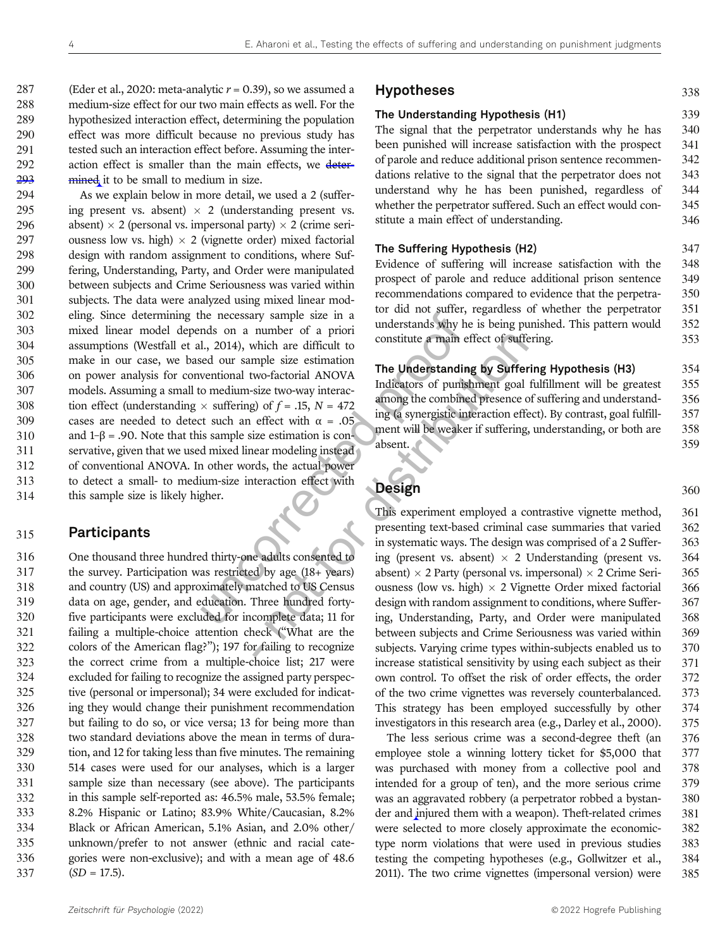287 (Eder et al., 2020: meta-analytic  $r = 0.39$ ), so we assumed a medium-size effect for our two main effects as well. For the hypothesized interaction effect, determining the population effect was more difficult because no previous study has tested such an interaction effect before. Assuming the inter-292 action effect is smaller than the main effects, we deter-mined it to be small to medium in size.

The mechanics are the main of the main state of a prioric discussion and a number of a priori and the sed our sample size estimation ventional two-factorial ANOVA o medium-size two-way interaction  $\times$  suffering) of  $f = .1$ 294 As we explain below in more detail, we used a 2 (suffer-295 ing present vs. absent)  $\times$  2 (understanding present vs.<br>296 absent)  $\times$  2 (personal vs. impersonal party)  $\times$  2 (crime seri-296 absent)  $\times$  2 (personal vs. impersonal party)  $\times$  2 (crime seri-<br>297 ousness low vs. high)  $\times$  2 (vignette order) mixed factorial 297 ousness low vs. high)  $\times$  2 (vignette order) mixed factorial 298 design with random assignment to conditions, where Sufdesign with random assignment to conditions, where Suf-299 fering, Understanding, Party, and Order were manipulated 300 between subjects and Crime Seriousness was varied within 301 subjects. The data were analyzed using mixed linear mod-302 eling. Since determining the necessary sample size in a 303 mixed linear model depends on a number of a priori 304 assumptions (Westfall et al., 2014), which are difficult to 305 make in our case, we based our sample size estimation 306 on power analysis for conventional two-factorial ANOVA 307 models. Assuming a small to medium-size two-way interac-308 tion effect (understanding  $\times$  suffering) of  $f = .15$ ,  $N = 472$ <br>309 cases are needed to detect such an effect with  $\alpha = .05$ cases are needed to detect such an effect with  $\alpha = .05$ 310 and  $1-\beta = .90$ . Note that this sample size estimation is con-311 servative, given that we used mixed linear modeling instead 312 of conventional ANOVA. In other words, the actual power 313 to detect a small- to medium-size interaction effect with 314 this sample size is likely higher.

#### 315 Participants

 One thousand three hundred thirty-one adults consented to the survey. Participation was restricted by age (18+ years) and country (US) and approximately matched to US Census data on age, gender, and education. Three hundred forty- five participants were excluded for incomplete data; 11 for failing a multiple-choice attention check ("What are the colors of the American flag?"); 197 for failing to recognize the correct crime from a multiple-choice list; 217 were excluded for failing to recognize the assigned party perspec- tive (personal or impersonal); 34 were excluded for indicat- ing they would change their punishment recommendation but failing to do so, or vice versa; 13 for being more than two standard deviations above the mean in terms of dura- tion, and 12 for taking less than five minutes. The remaining 514 cases were used for our analyses, which is a larger sample size than necessary (see above). The participants in this sample self-reported as: 46.5% male, 53.5% female; 8.2% Hispanic or Latino; 83.9% White/Caucasian, 8.2% Black or African American, 5.1% Asian, and 2.0% other/ unknown/prefer to not answer (ethnic and racial cate- gories were non-exclusive); and with a mean age of 48.6  $(SD = 17.5)$ .

#### Hypotheses 338

### The Understanding Hypothesis (H1) 339

The signal that the perpetrator understands why he has 340 been punished will increase satisfaction with the prospect 341 of parole and reduce additional prison sentence recommen- 342 dations relative to the signal that the perpetrator does not 343 understand why he has been punished, regardless of 344 whether the perpetrator suffered. Such an effect would con-<br>345 stitute a main effect of understanding. 346

| The Suffering Hypothesis (H2) |  |
|-------------------------------|--|
|-------------------------------|--|

Evidence of suffering will increase satisfaction with the 348 prospect of parole and reduce additional prison sentence 349 recommendations compared to evidence that the perpetra- 350 tor did not suffer, regardless of whether the perpetrator 351 understands why he is being punished. This pattern would 352 constitute a main effect of suffering. 353

#### The Understanding by Suffering Hypothesis (H3) 354

Indicators of punishment goal fulfillment will be greatest 355 among the combined presence of suffering and understand- 356 ing (a synergistic interaction effect). By contrast, goal fulfill- 357 ment will be weaker if suffering, understanding, or both are 358 absent. 359

### **Design 360**

mainter of which are difficult to<br>
which are difficult to<br>
myle size estimation<br>
wo-factorial ANOVA<br>
size two-way interactions of pumishment goal<br>
goal of  $f = .15$ ,  $N = 472$ <br>
altra model ing (a synergistic interaction effe This experiment employed a contrastive vignette method, 361 presenting text-based criminal case summaries that varied 362 in systematic ways. The design was comprised of a 2 Suffer- 363 ing (present vs. absent)  $\times$  2 Understanding (present vs. 364 absent)  $\times$  2 Party (personal vs. impersonal)  $\times$  2 Crime Seri-365 absent)  $\times$  2 Party (personal vs. impersonal)  $\times$  2 Crime Seri-365<br>ousness (low vs. high)  $\times$  2 Vignette Order mixed factorial 366 ousness (low vs. high)  $\times$  2 Vignette Order mixed factorial 366 design with random assignment to conditions, where Suffer 367 design with random assignment to conditions, where Suffering, Understanding, Party, and Order were manipulated 368 between subjects and Crime Seriousness was varied within 369 subjects. Varying crime types within-subjects enabled us to 370 increase statistical sensitivity by using each subject as their 371 own control. To offset the risk of order effects, the order 372 of the two crime vignettes was reversely counterbalanced. 373 This strategy has been employed successfully by other 374 investigators in this research area (e.g., Darley et al., 2000). 375

> The less serious crime was a second-degree theft (an 376 employee stole a winning lottery ticket for \$5,000 that 377 was purchased with money from a collective pool and 378 intended for a group of ten), and the more serious crime 379 was an aggravated robbery (a perpetrator robbed a bystan- 380 der and injured them with a weapon). Theft-related crimes 381 were selected to more closely approximate the economic- 382 type norm violations that were used in previous studies 383 testing the competing hypotheses (e.g., Gollwitzer et al., 384 2011). The two crime vignettes (impersonal version) were 385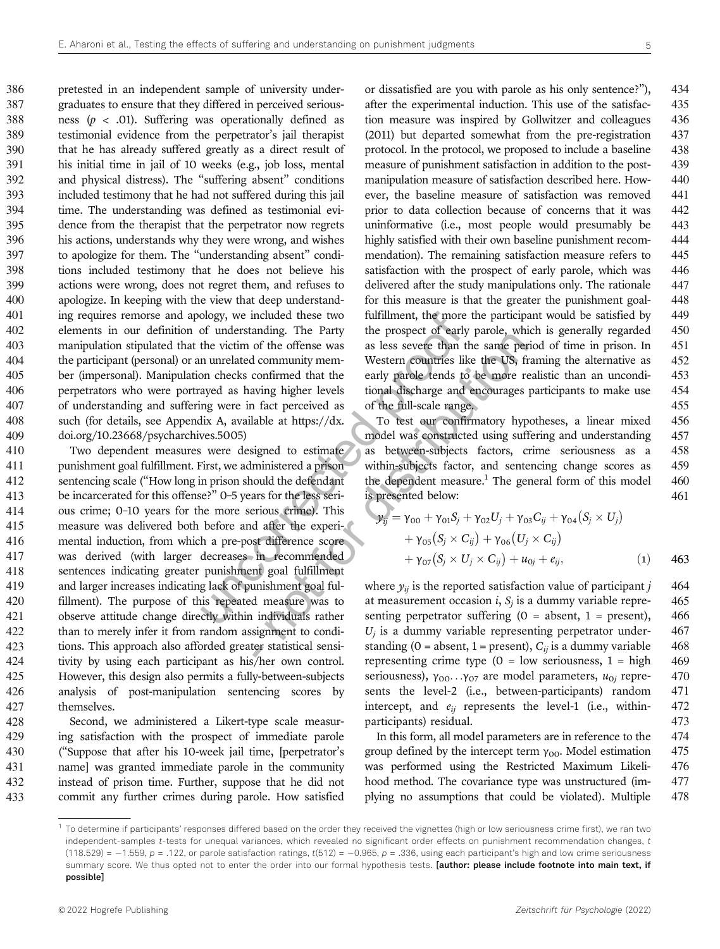pretested in an independent sample of university under- graduates to ensure that they differed in perceived serious-388 ness  $(p < .01)$ . Suffering was operationally defined as testimonial evidence from the perpetrator's jail therapist that he has already suffered greatly as a direct result of his initial time in jail of 10 weeks (e.g., job loss, mental and physical distress). The "suffering absent" conditions included testimony that he had not suffered during this jail time. The understanding was defined as testimonial evi- dence from the therapist that the perpetrator now regrets his actions, understands why they were wrong, and wishes to apologize for them. The "understanding absent" condi- tions included testimony that he does not believe his actions were wrong, does not regret them, and refuses to apologize. In keeping with the view that deep understand- ing requires remorse and apology, we included these two elements in our definition of understanding. The Party manipulation stipulated that the victim of the offense was the participant (personal) or an unrelated community mem- ber (impersonal). Manipulation checks confirmed that the perpetrators who were portrayed as having higher levels of understanding and suffering were in fact perceived as such (for details, see Appendix A, available at https://dx. doi.org/10.23668/psycharchives.5005)

ology, we included these two<br>
of understanding. The Party<br>
the prospect of early<br>
the victim of the offense was<br>
as less severe than the<br>
numeraled community mem-<br>
Western countries like<br>
on checks confirmed that the<br>
ear and of the offense was<br>as less severe than the same per<br>d community mem-<br>d community mem-<br>western countries like the US, fr<br>confirmed that the early parole tends to be more re<br>aving higher levels<br>in a discharge and encour Two dependent measures were designed to estimate punishment goal fulfillment. First, we administered a prison sentencing scale ("How long in prison should the defendant be incarcerated for this offense?" 0–5 years for the less seri- ous crime; 0–10 years for the more serious crime). This measure was delivered both before and after the experi- mental induction, from which a pre-post difference score was derived (with larger decreases in recommended sentences indicating greater punishment goal fulfillment and larger increases indicating lack of punishment goal ful- fillment). The purpose of this repeated measure was to observe attitude change directly within individuals rather than to merely infer it from random assignment to condi- tions. This approach also afforded greater statistical sensi- tivity by using each participant as his/her own control. However, this design also permits a fully-between-subjects analysis of post-manipulation sentencing scores by themselves.

 Second, we administered a Likert-type scale measur- ing satisfaction with the prospect of immediate parole ("Suppose that after his 10-week jail time, [perpetrator's name] was granted immediate parole in the community instead of prison time. Further, suppose that he did not commit any further crimes during parole. How satisfied

or dissatisfied are you with parole as his only sentence?"), 434 after the experimental induction. This use of the satisfac- 435 tion measure was inspired by Gollwitzer and colleagues 436 (2011) but departed somewhat from the pre-registration 437 protocol. In the protocol, we proposed to include a baseline 438 measure of punishment satisfaction in addition to the post- 439 manipulation measure of satisfaction described here. How- 440 ever, the baseline measure of satisfaction was removed 441 prior to data collection because of concerns that it was 442 uninformative (i.e., most people would presumably be 443 highly satisfied with their own baseline punishment recom-444 mendation). The remaining satisfaction measure refers to 445 satisfaction with the prospect of early parole, which was 446 delivered after the study manipulations only. The rationale 447 for this measure is that the greater the punishment goal- 448 fulfillment, the more the participant would be satisfied by 449 the prospect of early parole, which is generally regarded 450 as less severe than the same period of time in prison. In 451 Western countries like the US, framing the alternative as 452 early parole tends to be more realistic than an uncondi- 453 tional discharge and encourages participants to make use 454 of the full-scale range. 455

To test our confirmatory hypotheses, a linear mixed 456 model was constructed using suffering and understanding 457 as between-subjects factors, crime seriousness as a 458 within-subjects factor, and sentencing change scores as 459 the dependent measure.<sup>1</sup> The general form of this model  $460$ is presented below: 461

$$
\mathcal{Y}_{ij} = \gamma_{00} + \gamma_{01} S_j + \gamma_{02} U_j + \gamma_{03} C_{ij} + \gamma_{04} (S_j \times U_j) + \gamma_{05} (S_j \times C_{ij}) + \gamma_{06} (U_j \times C_{ij}) + \gamma_{07} (S_j \times U_j \times C_{ij}) + u_{0j} + e_{ij},
$$
 (1) 463

where  $y_{ij}$  is the reported satisfaction value of participant j 464 at measurement occasion *i*,  $S_i$  is a dummy variable repre- 465 senting perpetrator suffering  $(0 = absent, 1 = present)$ , 466  $U_j$  is a dummy variable representing perpetrator under- 467 standing (0 = absent, 1 = present),  $C_{ii}$  is a dummy variable 468 representing crime type  $(0 = low$  seriousness,  $1 = high$  469 seriousness),  $\gamma_{00}$ ... $\gamma_{07}$  are model parameters,  $u_{0i}$  repre- 470 sents the level-2 (i.e., between-participants) random 471 intercept, and  $e_{ij}$  represents the level-1 (i.e., within- 472 participants) residual. 473

In this form, all model parameters are in reference to the 474 group defined by the intercept term  $\gamma_{00}$ . Model estimation 475 was performed using the Restricted Maximum Likeli- 476 hood method. The covariance type was unstructured (im- 477 plying no assumptions that could be violated). Multiple 478

 $1$  To determine if participants' responses differed based on the order they received the vignettes (high or low seriousness crime first), we ran two independent-samples t-tests for unequal variances, which revealed no significant order effects on punishment recommendation changes, t  $(118.529) = -1.559$ ,  $p = .122$ , or parole satisfaction ratings,  $t(512) = -0.965$ ,  $p = .336$ , using each participant's high and low crime seriousness summary score. We thus opted not to enter the order into our formal hypothesis tests. [author: please include footnote into main text, if possible]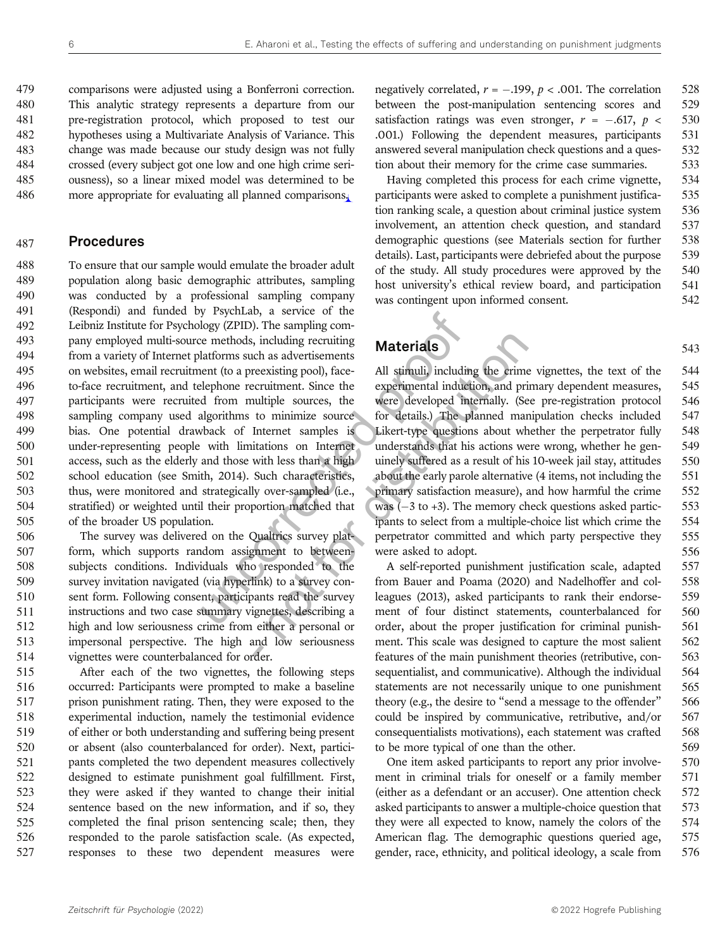comparisons were adjusted using a Bonferroni correction. This analytic strategy represents a departure from our pre-registration protocol, which proposed to test our hypotheses using a Multivariate Analysis of Variance. This change was made because our study design was not fully crossed (every subject got one low and one high crime seri- ousness), so a linear mixed model was determined to be more appropriate for evaluating all planned comparisons.

#### 487 Procedures

Usineso, a service of the membridge membrod, and service of the membridge centrations and a strong membridation and the specifies energy and the membridient (to a preexisting pool), face-<br>the experimental induct of from mu To ensure that our sample would emulate the broader adult population along basic demographic attributes, sampling was conducted by a professional sampling company (Respondi) and funded by PsychLab, a service of the Leibniz Institute for Psychology (ZPID). The sampling com- pany employed multi-source methods, including recruiting from a variety of Internet platforms such as advertisements on websites, email recruitment (to a preexisting pool), face- to-face recruitment, and telephone recruitment. Since the participants were recruited from multiple sources, the sampling company used algorithms to minimize source bias. One potential drawback of Internet samples is under-representing people with limitations on Internet access, such as the elderly and those with less than a high school education (see Smith, 2014). Such characteristics, thus, were monitored and strategically over-sampled (i.e., stratified) or weighted until their proportion matched that of the broader US population.

 The survey was delivered on the Qualtrics survey plat- form, which supports random assignment to between- subjects conditions. Individuals who responded to the survey invitation navigated (via hyperlink) to a survey con- sent form. Following consent, participants read the survey instructions and two case summary vignettes, describing a high and low seriousness crime from either a personal or impersonal perspective. The high and low seriousness vignettes were counterbalanced for order.

 After each of the two vignettes, the following steps occurred: Participants were prompted to make a baseline prison punishment rating. Then, they were exposed to the experimental induction, namely the testimonial evidence of either or both understanding and suffering being present or absent (also counterbalanced for order). Next, partici- pants completed the two dependent measures collectively designed to estimate punishment goal fulfillment. First, they were asked if they wanted to change their initial sentence based on the new information, and if so, they completed the final prison sentencing scale; then, they responded to the parole satisfaction scale. (As expected, responses to these two dependent measures were

negatively correlated,  $r = -.199$ ,  $p < .001$ . The correlation 528<br>between the post-manipulation sentencing scores and 529 between the post-manipulation sentencing scores and satisfaction ratings was even stronger,  $r = -.617$ ,  $p < .530$ <br>.001.) Following the dependent measures, participants 531 .001.) Following the dependent measures, participants answered several manipulation check questions and a ques- 532 tion about their memory for the crime case summaries. 533

Having completed this process for each crime vignette, 534 participants were asked to complete a punishment justifica- 535 tion ranking scale, a question about criminal justice system 536 involvement, an attention check question, and standard 537 demographic questions (see Materials section for further 538 details). Last, participants were debriefed about the purpose 539 of the study. All study procedures were approved by the 540 host university's ethical review board, and participation 541 was contingent upon informed consent. 542

#### Materials 543

is, including recruiting<br>
in a salvertisements<br>
increasing pool), face-<br>
all stimuli, including the crime<br>
exercuitment. Since the experimental induction, and pri<br>
intuitiple sources, the were developed mermally. (Se<br>
to All stimuli, including the crime vignettes, the text of the 544 experimental induction, and primary dependent measures, 545 were developed internally. (See pre-registration protocol 546<br>for details.) The planned manipulation checks included 547 for details.) The planned manipulation checks included Likert-type questions about whether the perpetrator fully 548 understands that his actions were wrong, whether he gen- 549 uinely suffered as a result of his 10-week jail stay, attitudes 550 about the early parole alternative (4 items, not including the 551 primary satisfaction measure), and how harmful the crime 552 was  $(-3 \text{ to } +3)$ . The memory check questions asked partic-<br>ipants to select from a multiple-choice list which crime the 554 ipants to select from a multiple-choice list which crime the perpetrator committed and which party perspective they 555 were asked to adopt. 556

A self-reported punishment justification scale, adapted 557 from Bauer and Poama (2020) and Nadelhoffer and col- 558 leagues (2013), asked participants to rank their endorse- 559 ment of four distinct statements, counterbalanced for 560 order, about the proper justification for criminal punish- 561 ment. This scale was designed to capture the most salient 562 features of the main punishment theories (retributive, con- 563 sequentialist, and communicative). Although the individual 564 statements are not necessarily unique to one punishment 565 theory (e.g., the desire to "send a message to the offender" 566 could be inspired by communicative, retributive, and/or 567 consequentialists motivations), each statement was crafted 568 to be more typical of one than the other. 569

One item asked participants to report any prior involve- 570 ment in criminal trials for oneself or a family member 571 (either as a defendant or an accuser). One attention check 572 asked participants to answer a multiple-choice question that 573 they were all expected to know, namely the colors of the 574 American flag. The demographic questions queried age, 575 gender, race, ethnicity, and political ideology, a scale from 576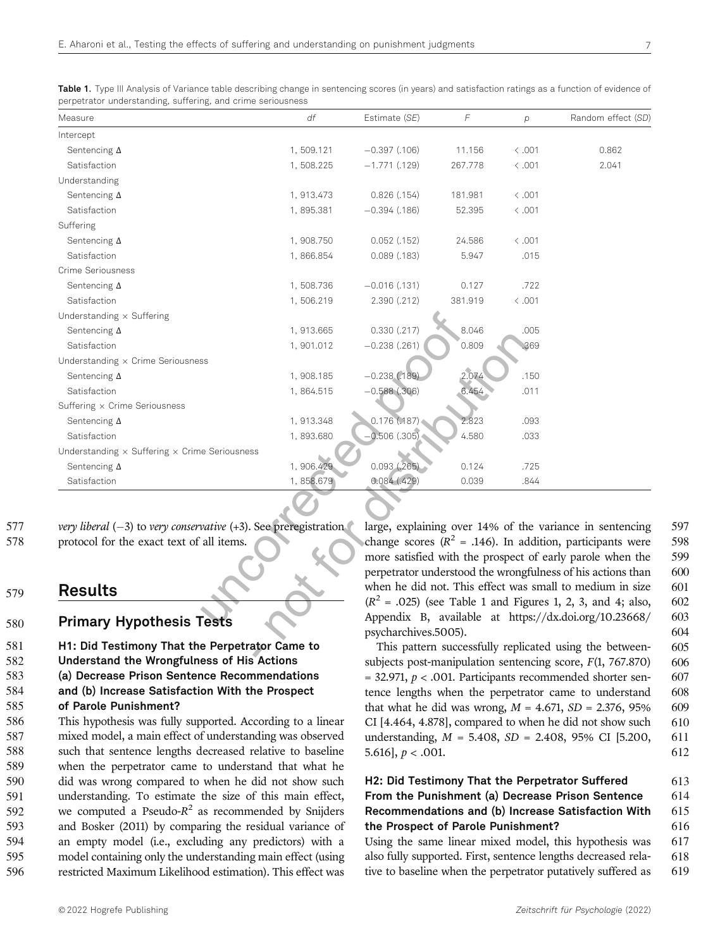| Measure                                                                                                            | df         | Estimate (SE)    | $\sqrt{2}$ | p              | Random effect (SD)                                                                                                        |
|--------------------------------------------------------------------------------------------------------------------|------------|------------------|------------|----------------|---------------------------------------------------------------------------------------------------------------------------|
| Intercept                                                                                                          |            |                  |            |                |                                                                                                                           |
| Sentencing $\Delta$                                                                                                | 1,509.121  | $-0.397$ (.106)  | 11.156     | $\langle .001$ | 0.862                                                                                                                     |
| Satisfaction                                                                                                       | 1,508.225  | $-1.771$ (.129)  | 267.778    | $\langle .001$ | 2.041                                                                                                                     |
| Understanding                                                                                                      |            |                  |            |                |                                                                                                                           |
| Sentencing $\Delta$                                                                                                | 1, 913.473 | $0.826$ $(.154)$ | 181.981    | $\langle .001$ |                                                                                                                           |
| Satisfaction                                                                                                       | 1,895.381  | $-0.394$ (.186)  | 52.395     | $\langle .001$ |                                                                                                                           |
| Suffering                                                                                                          |            |                  |            |                |                                                                                                                           |
| Sentencing $\Delta$                                                                                                | 1,908.750  | $0.052$ $(.152)$ | 24.586     | $\langle .001$ |                                                                                                                           |
| Satisfaction                                                                                                       | 1,866.854  | $0.089$ $(.183)$ | 5.947      | .015           |                                                                                                                           |
| Crime Seriousness                                                                                                  |            |                  |            |                |                                                                                                                           |
| Sentencing $\Delta$                                                                                                | 1,508.736  | $-0.016$ (.131)  | 0.127      | .722           |                                                                                                                           |
| Satisfaction                                                                                                       | 1,506.219  | 2.390 (.212)     | 381.919    | $\langle .001$ |                                                                                                                           |
| Understanding $\times$ Suffering                                                                                   |            |                  |            |                |                                                                                                                           |
| Sentencing $\Delta$                                                                                                | 1,913.665  | 0.330(.217)      | 8.046      | .005           |                                                                                                                           |
| Satisfaction                                                                                                       | 1,901.012  | $-0.238$ (.261)  | 0.809      | .369           |                                                                                                                           |
| Understanding x Crime Seriousness                                                                                  |            |                  |            |                |                                                                                                                           |
| Sentencing $\Delta$                                                                                                | 1,908.185  | $-0.238(0.189)$  | 2.074      | .150           |                                                                                                                           |
| Satisfaction                                                                                                       | 1,864.515  | $-0.588$ (.306)  | 6.454      | .011           |                                                                                                                           |
| Suffering x Crime Seriousness                                                                                      |            |                  |            |                |                                                                                                                           |
| Sentencing $\Delta$                                                                                                | 1, 913.348 | 0.176(0.187)     | 2.823      | .093           |                                                                                                                           |
| Satisfaction                                                                                                       | 1,893.680  | $-0.506(.305)$   | 4.580      | .033           |                                                                                                                           |
| Understanding $\times$ Suffering $\times$ Crime Seriousness                                                        |            |                  |            |                |                                                                                                                           |
| Sentencing $\Delta$                                                                                                | 1,906.429  | 0.093(.265)      | 0.124      | .725           |                                                                                                                           |
| Satisfaction                                                                                                       | 1,858.679  | 0.084(.429)      | 0.039      | .844           |                                                                                                                           |
|                                                                                                                    |            |                  |            |                |                                                                                                                           |
| very liberal $(-3)$ to very conservative $(+3)$ . See preregistration<br>protocol for the exact text of all items. |            |                  |            |                | large, explaining over 14% of the variance in sentencing<br>change scores ( $R^2$ = .146). In addition, participants were |
|                                                                                                                    |            |                  |            |                | more satisfied with the prospect of early parole when the<br>perpetrator understood the wrongfulness of his actions than  |
| <b>Results</b>                                                                                                     |            |                  |            |                | when he did not. This effect was small to medium in size                                                                  |
|                                                                                                                    |            |                  |            |                | $(R^{2} = .025)$ (see Table 1 and Figures 1, 2, 3, and 4; also,                                                           |
| <b>Primary Hypothesis Tests</b>                                                                                    |            |                  |            |                | Appendix B, available at https://dx.doi.org/10.23668/                                                                     |

Table 1. Type III Analysis of Variance table describing change in sentencing scores (in years) and satisfaction ratings as a function of evidence of

See preregistration large<br>
channels channels and performed the channel of  $(R^2)$ <br>
ator Came to 577 very liberal  $(-3)$  to very conservative  $(+3)$ . See preregistration protocol for the exact text of all items. protocol for the exact text of all items.

#### 579 Results

#### 580 Primary Hypothesis Tests

 H1: Did Testimony That the Perpetrator Came to Understand the Wrongfulness of His Actions (a) Decrease Prison Sentence Recommendations and (b) Increase Satisfaction With the Prospect of Parole Punishment?

 This hypothesis was fully supported. According to a linear mixed model, a main effect of understanding was observed such that sentence lengths decreased relative to baseline when the perpetrator came to understand that what he did was wrong compared to when he did not show such understanding. To estimate the size of this main effect, 592 we computed a Pseudo- $R^2$  as recommended by Snijders and Bosker (2011) by comparing the residual variance of an empty model (i.e., excluding any predictors) with a model containing only the understanding main effect (using restricted Maximum Likelihood estimation). This effect was

large, explaining over 14% of the variance in sentencing 597 change scores ( $R^2$  = .146). In addition, participants were 598 more satisfied with the prospect of early parole when the 599 perpetrator understood the wrongfulness of his actions than 600 when he did not. This effect was small to medium in size 601  $(R<sup>2</sup> = .025)$  (see Table 1 and Figures 1, 2, 3, and 4; also, 602) Appendix B, available at https://dx.doi.org/10.23668/ 603 psycharchives.5005). 604

This pattern successfully replicated using the between- 605 subjects post-manipulation sentencing score,  $F(1, 767.870)$  606  $= 32.971$ ,  $p < .001$ . Participants recommended shorter sen- 607 tence lengths when the perpetrator came to understand 608 that what he did was wrong,  $M = 4.671$ ,  $SD = 2.376$ ,  $95\%$  609 CI  $[4.464, 4.878]$ , compared to when he did not show such 610 understanding,  $M = 5.408$ ,  $SD = 2.408$ ,  $95\%$  CI [5.200, 611 5.616],  $p < .001$ . 612

#### H2: Did Testimony That the Perpetrator Suffered 613 From the Punishment (a) Decrease Prison Sentence 614 Recommendations and (b) Increase Satisfaction With 615 the Prospect of Parole Punishment? 616

Using the same linear mixed model, this hypothesis was 617 also fully supported. First, sentence lengths decreased rela- 618 tive to baseline when the perpetrator putatively suffered as 619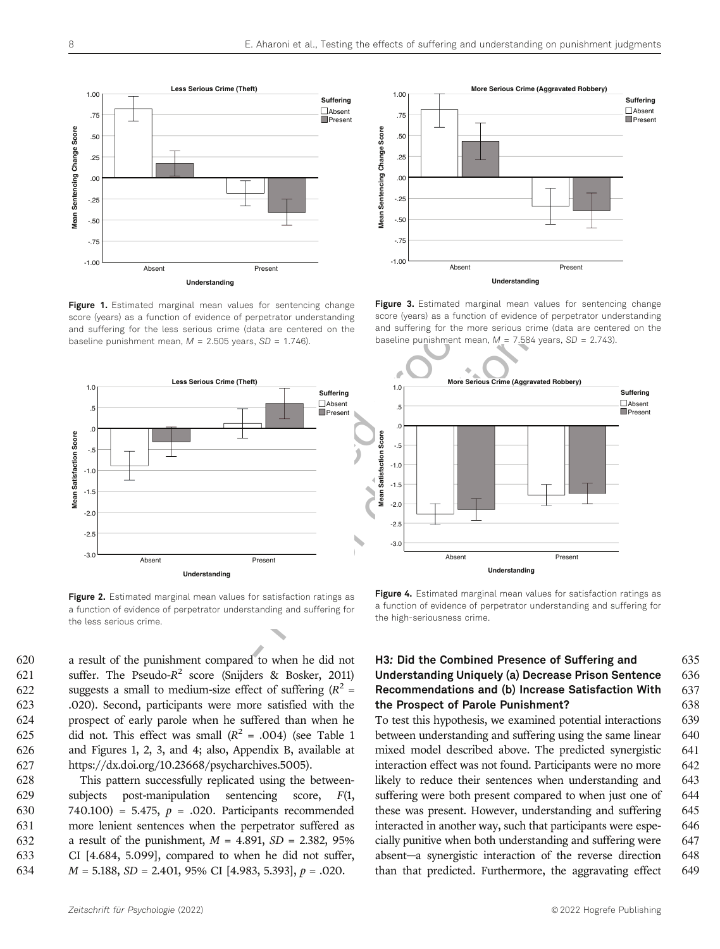

Figure 1. Estimated marginal mean values for sentencing change score (years) as a function of evidence of perpetrator understanding and suffering for the less serious crime (data are centered on the baseline punishment mean,  $M = 2.505$  years,  $SD = 1.746$ ).



Figure 2. Estimated marginal mean values for satisfaction ratings as a function of evidence of perpetrator understanding and suffering for the less serious crime.

 a result of the punishment compared to when he did not 621 suffer. The Pseudo- $R^2$  score (Snijders & Bosker, 2011) 622 suggests a small to medium-size effect of suffering  $(R^2 =$  .020). Second, participants were more satisfied with the prospect of early parole when he suffered than when he 625 did not. This effect was small  $(R^2 = .004)$  (see Table 1 and Figures 1, 2, 3, and 4; also, Appendix B, available at https://dx.doi.org/10.23668/psycharchives.5005).

 This pattern successfully replicated using the between- subjects post-manipulation sentencing score, F(1, 630 740.100) = 5.475,  $p = .020$ . Participants recommended more lenient sentences when the perpetrator suffered as 632 a result of the punishment,  $M = 4.891$ ,  $SD = 2.382$ , 95% CI [4.684, 5.099], compared to when he did not suffer,  $M = 5.188$ ,  $SD = 2.401$ , 95% CI [4.983, 5.393],  $p = .020$ .



Figure 3. Estimated marginal mean values for sentencing change score (years) as a function of evidence of perpetrator understanding and suffering for the more serious crime (data are centered on the baseline punishment mean,  $M = 7.584$  years, SD = 2.743).



Figure 4. Estimated marginal mean values for satisfaction ratings as a function of evidence of perpetrator understanding and suffering for the high-seriousness crime.

#### H3: Did the Combined Presence of Suffering and 635 Understanding Uniquely (a) Decrease Prison Sentence 636 Recommendations and (b) Increase Satisfaction With 637 the Prospect of Parole Punishment? 638

To test this hypothesis, we examined potential interactions 639 between understanding and suffering using the same linear 640 mixed model described above. The predicted synergistic 641 interaction effect was not found. Participants were no more 642 likely to reduce their sentences when understanding and 643 suffering were both present compared to when just one of 644 these was present. However, understanding and suffering 645 interacted in another way, such that participants were espe- 646 cially punitive when both understanding and suffering were 647 absent—a synergistic interaction of the reverse direction 648 than that predicted. Furthermore, the aggravating effect 649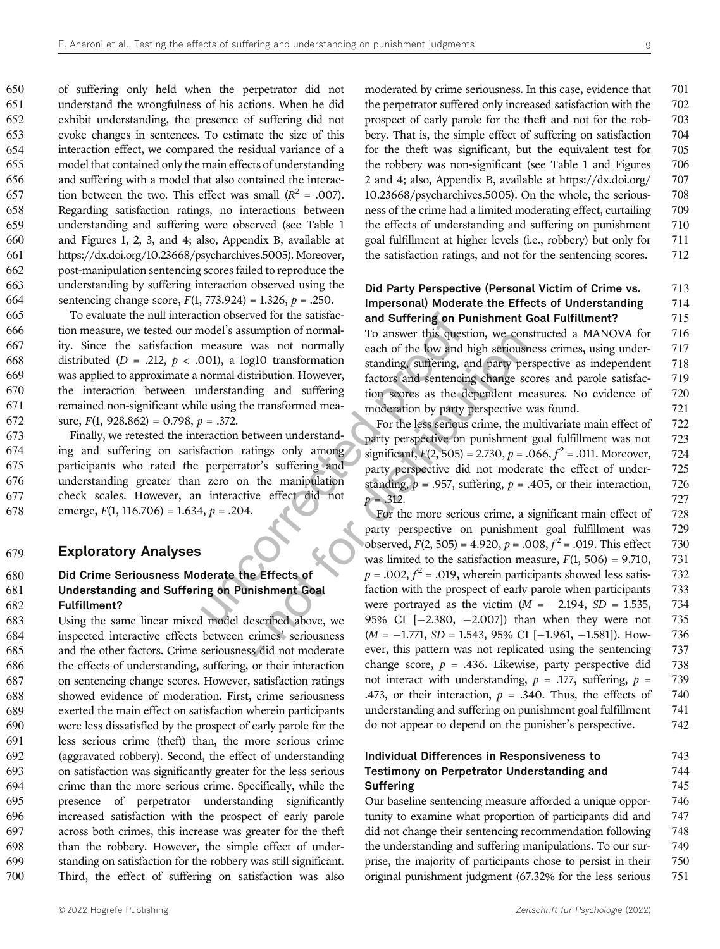of suffering only held when the perpetrator did not understand the wrongfulness of his actions. When he did exhibit understanding, the presence of suffering did not evoke changes in sentences. To estimate the size of this interaction effect, we compared the residual variance of a model that contained only the main effects of understanding and suffering with a model that also contained the interac-657 tion between the two. This effect was small  $(R^2 = .007)$ . Regarding satisfaction ratings, no interactions between understanding and suffering were observed (see Table 1 and Figures 1, 2, 3, and 4; also, Appendix B, available at https://dx.doi.org/10.23668/psycharchives.5005). Moreover, post-manipulation sentencing scores failed to reproduce the understanding by suffering interaction observed using the 664 sentencing change score,  $F(1, 773.924) = 1.326$ ,  $p = .250$ .

tion observed for the satisfactorial and **Suffering on Pu**<br>
model's assumption of normal-<br>
measure was not normally<br>
mal distribution. However,<br>
the low and halo standing suffering, an<br>
normal distribution. However,<br>
fact To evaluate the null interaction observed for the satisfac- tion measure, we tested our model's assumption of normal- ity. Since the satisfaction measure was not normally 668 distributed ( $D = .212$ ,  $p < .001$ ), a log10 transformation was applied to approximate a normal distribution. However, the interaction between understanding and suffering remained non-significant while using the transformed mea-672 sure,  $F(1, 928.862) = 0.798$ ,  $p = .372$ .

 Finally, we retested the interaction between understand- ing and suffering on satisfaction ratings only among participants who rated the perpetrator's suffering and understanding greater than zero on the manipulation check scales. However, an interactive effect did not 678 emerge,  $F(1, 116.706) = 1.634$ ,  $p = .204$ .

#### 679 Exploratory Analyses

#### 680 Did Crime Seriousness Moderate the Effects of 681 Understanding and Suffering on Punishment Goal 682 Fulfillment?

 Using the same linear mixed model described above, we inspected interactive effects between crimes' seriousness and the other factors. Crime seriousness did not moderate the effects of understanding, suffering, or their interaction on sentencing change scores. However, satisfaction ratings showed evidence of moderation. First, crime seriousness exerted the main effect on satisfaction wherein participants were less dissatisfied by the prospect of early parole for the less serious crime (theft) than, the more serious crime (aggravated robbery). Second, the effect of understanding on satisfaction was significantly greater for the less serious crime than the more serious crime. Specifically, while the presence of perpetrator understanding significantly increased satisfaction with the prospect of early parole across both crimes, this increase was greater for the theft than the robbery. However, the simple effect of under- standing on satisfaction for the robbery was still significant. Third, the effect of suffering on satisfaction was also

moderated by crime seriousness. In this case, evidence that 701 the perpetrator suffered only increased satisfaction with the 702 prospect of early parole for the theft and not for the rob- 703 bery. That is, the simple effect of suffering on satisfaction 704 for the theft was significant, but the equivalent test for 705 the robbery was non-significant (see Table 1 and Figures 706 2 and 4; also, Appendix B, available at https://dx.doi.org/ 707 10.23668/psycharchives.5005). On the whole, the serious- 708 ness of the crime had a limited moderating effect, curtailing 709 the effects of understanding and suffering on punishment 710 goal fulfillment at higher levels (i.e., robbery) but only for 711 the satisfaction ratings, and not for the sentencing scores. 712

#### Did Party Perspective (Personal Victim of Crime vs. 713 Impersonal) Moderate the Effects of Understanding 714 and Suffering on Punishment Goal Fulfillment? 715

To answer this question, we constructed a MANOVA for 716 each of the low and high seriousness crimes, using under- 717 standing, suffering, and party perspective as independent 718 factors and sentencing change scores and parole satisfac- 719 tion scores as the dependent measures. No evidence of 720 moderation by party perspective was found. 721

For the less serious crime, the multivariate main effect of 722 party perspective on punishment goal fulfillment was not 723 significant,  $F(2, 505) = 2.730$ ,  $p = .066$ ,  $f^2 = .011$ . Moreover, 724 party perspective did not moderate the effect of under- 725 standing,  $p = .957$ , suffering,  $p = .405$ , or their interaction, 726  $p = .312.$  727

the manipularity of notionally and particular particular than the space of the low and high serious standing, suffering and party perspective transformed mea-<br>
transformed mea-<br>
transformed mea-<br>
transformed mea-<br>
transfo For the more serious crime, a significant main effect of 728 party perspective on punishment goal fulfillment was 729 observed,  $F(2, 505) = 4.920$ ,  $p = .008$ ,  $f^2 = .019$ . This effect 730 was limited to the satisfaction measure,  $F(1, 506) = 9.710$ , 731  $p = .002$ ,  $f^2 = .019$ , wherein participants showed less satis- 732 faction with the prospect of early parole when participants 733 were portrayed as the victim  $(M = -2.194, SD = 1.535, 734$ <br>95% CI  $[-2.380, -2.007]$  than when they were not 735 95% CI  $[-2.380, -2.007]$ ) than when they were not 735  $(M = -1.771, SD = 1.543, 95\%$  CI  $[-1.961, -1.581]$ ). How- 736  $(M = -1.771, SD = 1.543, 95\% \text{ CI } [-1.961, -1.581]).$  How- 736 ever, this pattern was not replicated using the sentencing 737 ever, this pattern was not replicated using the sentencing change score,  $p = .436$ . Likewise, party perspective did 738 not interact with understanding,  $p = .177$ , suffering,  $p = .739$ .473, or their interaction,  $p = .340$ . Thus, the effects of 740 understanding and suffering on punishment goal fulfillment 741 do not appear to depend on the punisher's perspective. 742

#### Individual Differences in Responsiveness to 743 Testimony on Perpetrator Understanding and 744 Suffering 745

Our baseline sentencing measure afforded a unique oppor- 746 tunity to examine what proportion of participants did and 747 did not change their sentencing recommendation following 748 the understanding and suffering manipulations. To our sur- 749 prise, the majority of participants chose to persist in their 750 original punishment judgment (67.32% for the less serious 751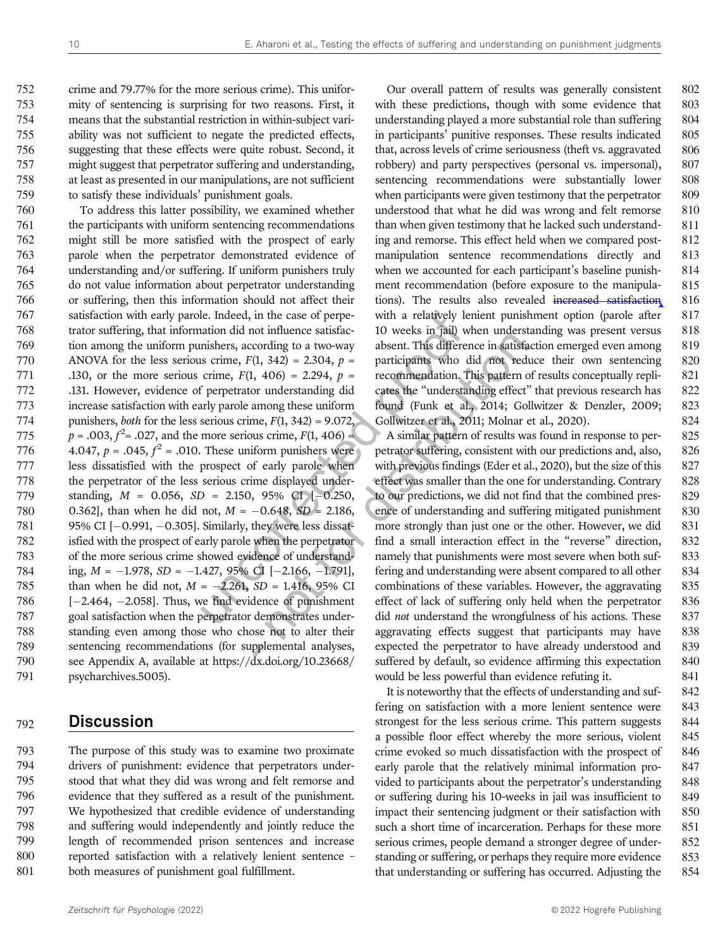crime and 79.77% for the more serious crime). This unifor- mity of sentencing is surprising for two reasons. First, it means that the substantial restriction in within-subject vari- ability was not sufficient to negate the predicted effects, suggesting that these effects were quite robust. Second, it might suggest that perpetrator suffering and understanding, at least as presented in our manipulations, are not sufficient to satisfy these individuals' punishment goals.

le. Indeed, in the case of perpe-<br>
units are lattively leitation did not influence satisfac-<br>
10 weeks in jail) will mishers, according to a two-way<br>
unishers, according to a two-way<br>
dosent. This different<br>
uscribes in s To address this latter possibility, we examined whether the participants with uniform sentencing recommendations might still be more satisfied with the prospect of early parole when the perpetrator demonstrated evidence of understanding and/or suffering. If uniform punishers truly do not value information about perpetrator understanding or suffering, then this information should not affect their satisfaction with early parole. Indeed, in the case of perpe- trator suffering, that information did not influence satisfac- tion among the uniform punishers, according to a two-way 770 ANOVA for the less serious crime,  $F(1, 342) = 2.304$ ,  $p =$ 771 .130, or the more serious crime,  $F(1, 406) = 2.294$ ,  $p =$  .131. However, evidence of perpetrator understanding did increase satisfaction with early parole among these uniform punishers, both for the less serious crime, F(1, 342) = 9.072,  $p = .003, f^2 = .027$ , and the more serious crime,  $F(1, 406) =$ 776 4.047,  $p = .045, f^2 = .010$ . These uniform punishers were less dissatisfied with the prospect of early parole when the perpetrator of the less serious crime displayed under-779 standing,  $M = 0.056$ ,  $SD = 2.150$ ,  $95\%$  CI [-0.250, 780 0.362], than when he did not,  $M = -0.648$ ,  $SD = 2.186$ . 780 0.362], than when he did not,  $M = -0.648$ ,  $SD = 2.186$ ,  $781$  95% CI [-0.991, -0.305]. Similarly, they were less dissat-781 95% CI  $[-0.991, -0.305]$ . Similarly, they were less dissat-<br>782 isfied with the prospect of early parole when the perpetrator isfied with the prospect of early parole when the perpetrator of the more serious crime showed evidence of understand-784 ing,  $M = -1.978$ ,  $SD = -1.427$ ,  $95\%$  CI [-2.166, -1.791],<br>785 than when he did not,  $M = -2.261$ ,  $SD = 1.416$ ,  $95\%$  CI 785 than when he did not,  $M = -2.261$ ,  $SD = 1.416$ ,  $95\%$  CI<br>786  $[-2.464, -2.058]$ . Thus, we find evidence of punishment  $[-2.464, -2.058]$ . Thus, we find evidence of punishment 787  $[2.464, -2.058]$ . goal satisfaction when the perpetrator demonstrates under- standing even among those who chose not to alter their sentencing recommendations (for supplemental analyses, see Appendix A, available at https://dx.doi.org/10.23668/ psycharchives.5005).

#### 792 Discussion

 The purpose of this study was to examine two proximate drivers of punishment: evidence that perpetrators under- stood that what they did was wrong and felt remorse and evidence that they suffered as a result of the punishment. We hypothesized that credible evidence of understanding and suffering would independently and jointly reduce the length of recommended prison sentences and increase reported satisfaction with a relatively lenient sentence – both measures of punishment goal fulfillment.

Our overall pattern of results was generally consistent 802 with these predictions, though with some evidence that 803 understanding played a more substantial role than suffering 804 in participants' punitive responses. These results indicated 805 that, across levels of crime seriousness (theft vs. aggravated 806 robbery) and party perspectives (personal vs. impersonal), 807 sentencing recommendations were substantially lower 808 when participants were given testimony that the perpetrator 809 understood that what he did was wrong and felt remorse 810 than when given testimony that he lacked such understand- 811 ing and remorse. This effect held when we compared post- 812 manipulation sentence recommendations directly and 813 when we accounted for each participant's baseline punish-<br>814 ment recommendation (before exposure to the manipula- 815 tions). The results also revealed increased satisfaction 816 with a relatively lenient punishment option (parole after 817 10 weeks in jail) when understanding was present versus 818 absent. This difference in satisfaction emerged even among 819 participants who did not reduce their own sentencing 820 recommendation. This pattern of results conceptually repli- 821 cates the "understanding effect" that previous research has 822 found (Funk et al., 2014; Gollwitzer & Denzler, 2009; 823 Gollwitzer et al., 2011; Molnar et al., 2020). 824

For initiative statistic and the vector of mucroscording to a two-way absent. This difference in satisfa<br>
(1, 342) = 2.304,  $p =$  participants who did not reduced, 406) = 2.294,  $p =$  recommendation. This pattern or underst A similar pattern of results was found in response to per- 825 petrator suffering, consistent with our predictions and, also, 826 with previous findings (Eder et al., 2020), but the size of this 827 effect was smaller than the one for understanding. Contrary 828 to our predictions, we did not find that the combined pres- 829 ence of understanding and suffering mitigated punishment 830 more strongly than just one or the other. However, we did 831 find a small interaction effect in the "reverse" direction, 832 namely that punishments were most severe when both suf-<br>833 fering and understanding were absent compared to all other 834 combinations of these variables. However, the aggravating 835 effect of lack of suffering only held when the perpetrator 836 did *not* understand the wrongfulness of his actions. These 837 aggravating effects suggest that participants may have 838 expected the perpetrator to have already understood and 839 suffered by default, so evidence affirming this expectation 840 would be less powerful than evidence refuting it. 841

> It is noteworthy that the effects of understanding and suf- 842 fering on satisfaction with a more lenient sentence were 843 strongest for the less serious crime. This pattern suggests 844 a possible floor effect whereby the more serious, violent 845 crime evoked so much dissatisfaction with the prospect of 846 early parole that the relatively minimal information pro- 847 vided to participants about the perpetrator's understanding 848 or suffering during his 10-weeks in jail was insufficient to 849 impact their sentencing judgment or their satisfaction with 850 such a short time of incarceration. Perhaps for these more 851 serious crimes, people demand a stronger degree of under- 852 standing or suffering, or perhaps they require more evidence 853 that understanding or suffering has occurred. Adjusting the 854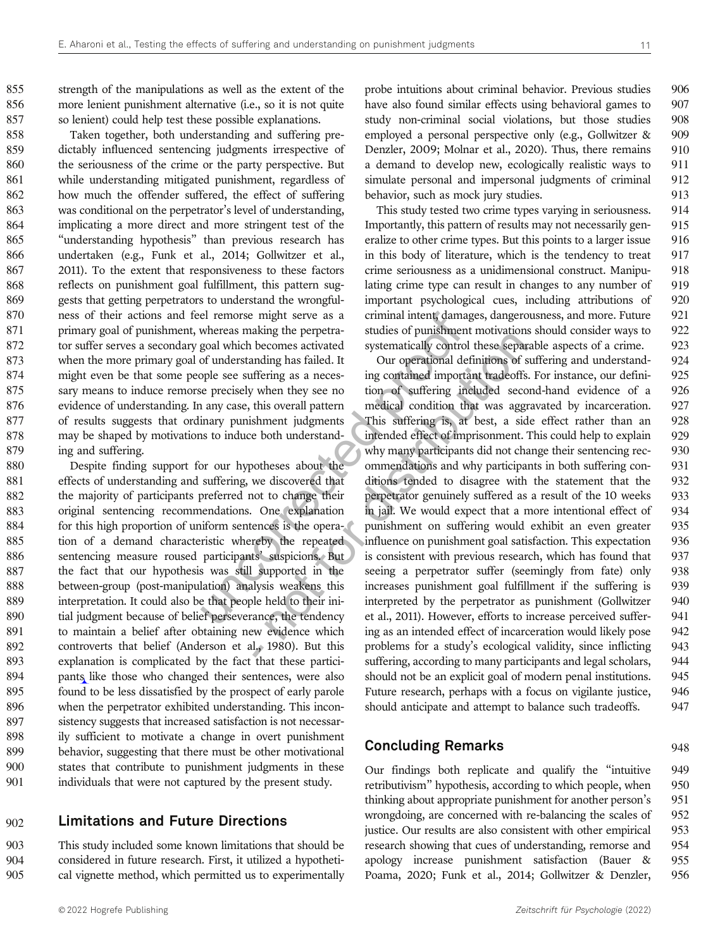855 strength of the manipulations as well as the extent of the 856 more lenient punishment alternative (i.e., so it is not quite 857 so lenient) could help test these possible explanations.

 Taken together, both understanding and suffering pre- dictably influenced sentencing judgments irrespective of the seriousness of the crime or the party perspective. But while understanding mitigated punishment, regardless of how much the offender suffered, the effect of suffering was conditional on the perpetrator's level of understanding, implicating a more direct and more stringent test of the "understanding hypothesis" than previous research has undertaken (e.g., Funk et al., 2014; Gollwitzer et al., 2011). To the extent that responsiveness to these factors reflects on punishment goal fulfillment, this pattern sug- gests that getting perpetrators to understand the wrongful- ness of their actions and feel remorse might serve as a 871 primary goal of punishment, whereas making the perpetra- tor suffer serves a secondary goal which becomes activated when the more primary goal of understanding has failed. It might even be that some people see suffering as a neces- sary means to induce remorse precisely when they see no evidence of understanding. In any case, this overall pattern of results suggests that ordinary punishment judgments may be shaped by motivations to induce both understand-ing and suffering.

 Despite finding support for our hypotheses about the effects of understanding and suffering, we discovered that 882 the majority of participants preferred not to change their original sentencing recommendations. One explanation 884 for this high proportion of uniform sentences is the opera- tion of a demand characteristic whereby the repeated sentencing measure roused participants' suspicions. But 887 the fact that our hypothesis was still supported in the between-group (post-manipulation) analysis weakens this interpretation. It could also be that people held to their ini-890 tial judgment because of belief perseverance, the tendency to maintain a belief after obtaining new evidence which controverts that belief (Anderson et al., 1980). But this explanation is complicated by the fact that these partici- pants like those who changed their sentences, were also found to be less dissatisfied by the prospect of early parole when the perpetrator exhibited understanding. This incon- sistency suggests that increased satisfaction is not necessar- ily sufficient to motivate a change in overt punishment behavior, suggesting that there must be other motivational states that contribute to punishment judgments in these individuals that were not captured by the present study.

#### 902 Limitations and Future Directions

903 This study included some known limitations that should be 904 considered in future research. First, it utilized a hypotheti-905 cal vignette method, which permitted us to experimentally probe intuitions about criminal behavior. Previous studies 906 have also found similar effects using behavioral games to 907 study non-criminal social violations, but those studies 908 employed a personal perspective only (e.g., Gollwitzer & 909 Denzler, 2009; Molnar et al., 2020). Thus, there remains 910 a demand to develop new, ecologically realistic ways to 911 simulate personal and impersonal judgments of criminal 912 behavior, such as mock jury studies. 913

This study tested two crime types varying in seriousness. 914 Importantly, this pattern of results may not necessarily gen- 915 eralize to other crime types. But this points to a larger issue 916 in this body of literature, which is the tendency to treat 917 crime seriousness as a unidimensional construct. Manipu- 918 lating crime type can result in changes to any number of 919 important psychological cues, including attributions of 920 criminal intent, damages, dangerousness, and more. Future 921 studies of punishment motivations should consider ways to 922 systematically control these separable aspects of a crime. 923

Example the members are all the seeing a perpetrational intent, demand whereas making the perpetration stations activated systematically control of understanding has failed. It also the propertional deformation in any case aling the perpetration in the transformation in the search perpetration and the seconds a field. It corresponds the experiment independent in the search of suffering included second this overall pattern medical condition t Our operational definitions of suffering and understand- 924 ing contained important tradeoffs. For instance, our defini- 925 tion of suffering included second-hand evidence of a 926 medical condition that was aggravated by incarceration. 927 This suffering is, at best, a side effect rather than an 928 intended effect of imprisonment. This could help to explain 929 why many participants did not change their sentencing rec- 930 ommendations and why participants in both suffering con- 931 ditions tended to disagree with the statement that the 932 perpetrator genuinely suffered as a result of the 10 weeks 933 in jail. We would expect that a more intentional effect of 934 punishment on suffering would exhibit an even greater 935 influence on punishment goal satisfaction. This expectation 936 is consistent with previous research, which has found that 937 seeing a perpetrator suffer (seemingly from fate) only 938 increases punishment goal fulfillment if the suffering is 939 interpreted by the perpetrator as punishment (Gollwitzer 940 et al., 2011). However, efforts to increase perceived suffer- 941 ing as an intended effect of incarceration would likely pose 942 problems for a study's ecological validity, since inflicting 943 suffering, according to many participants and legal scholars, 944 should not be an explicit goal of modern penal institutions. 945 Future research, perhaps with a focus on vigilante justice, 946 should anticipate and attempt to balance such tradeoffs. 947

#### **Concluding Remarks** 948

Our findings both replicate and qualify the "intuitive 949 retributivism" hypothesis, according to which people, when 950 thinking about appropriate punishment for another person's 951 wrongdoing, are concerned with re-balancing the scales of 952 justice. Our results are also consistent with other empirical 953 research showing that cues of understanding, remorse and 954 apology increase punishment satisfaction (Bauer & 955 Poama, 2020; Funk et al., 2014; Gollwitzer & Denzler, 956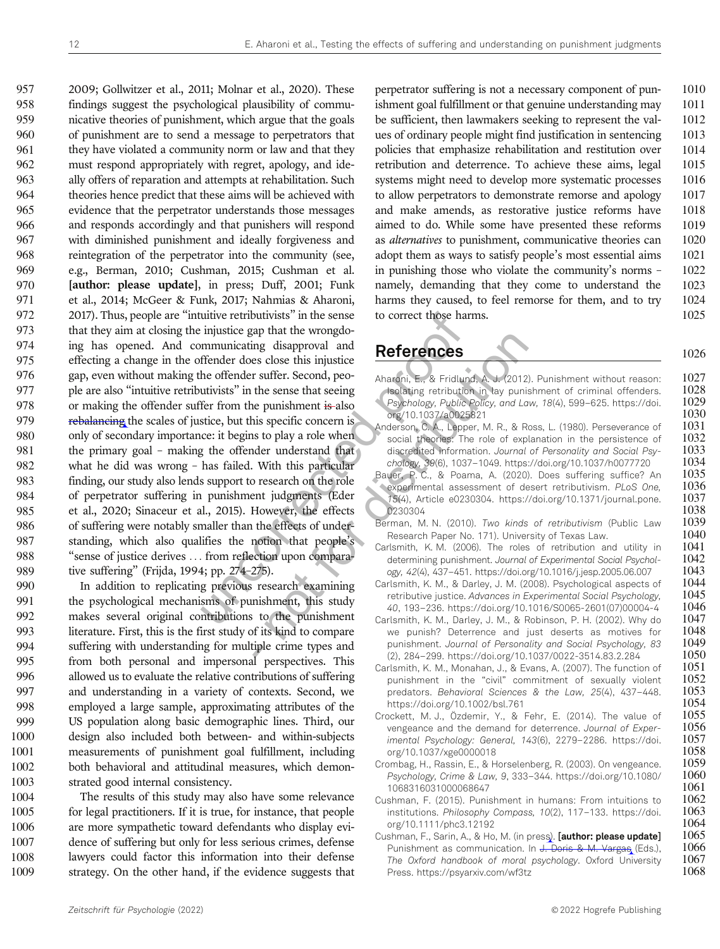unitive retributivists" in the sense<br>
to correct those hare injustice gap that the wrongdom<br>
Iffender does close this injustice<br>
the offender suffer. Second, peo-<br>
untivists" in the sense that seeing<br>
the offender suffer. 2009; Gollwitzer et al., 2011; Molnar et al., 2020). These findings suggest the psychological plausibility of commu- nicative theories of punishment, which argue that the goals of punishment are to send a message to perpetrators that 961 they have violated a community norm or law and that they must respond appropriately with regret, apology, and ide- ally offers of reparation and attempts at rehabilitation. Such theories hence predict that these aims will be achieved with evidence that the perpetrator understands those messages and responds accordingly and that punishers will respond with diminished punishment and ideally forgiveness and reintegration of the perpetrator into the community (see, e.g., Berman, 2010; Cushman, 2015; Cushman et al. 970 [author: please update], in press; Duff, 2001; Funk et al., 2014; McGeer & Funk, 2017; Nahmias & Aharoni, 2017). Thus, people are "intuitive retributivists" in the sense that they aim at closing the injustice gap that the wrongdo- ing has opened. And communicating disapproval and effecting a change in the offender does close this injustice gap, even without making the offender suffer. Second, peo- ple are also "intuitive retributivists" in the sense that seeing 978 or making the offender suffer from the punishment is also 979 rebalancing the scales of justice, but this specific concern is only of secondary importance: it begins to play a role when 981 the primary goal - making the offender understand that what he did was wrong – has failed. With this particular finding, our study also lends support to research on the role of perpetrator suffering in punishment judgments (Eder et al., 2020; Sinaceur et al., 2015). However, the effects 986 of suffering were notably smaller than the effects of under- standing, which also qualifies the notion that people's "sense of justice derives ... from reflection upon compara-tive suffering" (Frijda, 1994; pp. 274–275).

 In addition to replicating previous research examining the psychological mechanisms of punishment, this study makes several original contributions to the punishment literature. First, this is the first study of its kind to compare suffering with understanding for multiple crime types and from both personal and impersonal perspectives. This allowed us to evaluate the relative contributions of suffering and understanding in a variety of contexts. Second, we employed a large sample, approximating attributes of the US population along basic demographic lines. Third, our design also included both between- and within-subjects measurements of punishment goal fulfillment, including both behavioral and attitudinal measures, which demon-strated good internal consistency.

 The results of this study may also have some relevance for legal practitioners. If it is true, for instance, that people are more sympathetic toward defendants who display evi- dence of suffering but only for less serious crimes, defense lawyers could factor this information into their defense strategy. On the other hand, if the evidence suggests that perpetrator suffering is not a necessary component of pun- 1010 ishment goal fulfillment or that genuine understanding may 1011 be sufficient, then lawmakers seeking to represent the val-<br>1012 ues of ordinary people might find justification in sentencing 1013 policies that emphasize rehabilitation and restitution over 1014 retribution and deterrence. To achieve these aims, legal 1015 systems might need to develop more systematic processes 1016 to allow perpetrators to demonstrate remorse and apology 1017 and make amends, as restorative justice reforms have 1018 aimed to do. While some have presented these reforms 1019 as alternatives to punishment, communicative theories can 1020 adopt them as ways to satisfy people's most essential aims 1021 in punishing those who violate the community's norms – 1022 namely, demanding that they come to understand the 1023 harms they caused, to feel remorse for them, and to try 1024 to correct those harms. 1025

## References 1026

| ap una une monguo       |                                                                                                                                      |
|-------------------------|--------------------------------------------------------------------------------------------------------------------------------------|
| ing disapproval and     | <b>References</b>                                                                                                                    |
| es close this injustice |                                                                                                                                      |
| r suffer. Second, peo-  | Aharoni, E., & Fridlund, A. J. (2012). Punishment without reason:                                                                    |
| the sense that seeing   | Isolating retribution in lay punishment of criminal offenders.                                                                       |
| ne punishment is also   | Psychology, Public Policy, and Law, 18(4), 599-625. https://doi.                                                                     |
| nis specific concern is | org/10.1037/a0025821                                                                                                                 |
| is to play a role when  | Anderson, C. A., Lepper, M. R., & Ross, L. (1980). Perseverance of<br>social theories: The role of explanation in the persistence of |
| der understand that     | discredited information. Journal of Personality and Social Psy-                                                                      |
| With this particular    | chology, 39(6), 1037-1049. https://doi.org/10.1037/h0077720                                                                          |
| o research on the role  | Bauer, P. C., & Poama, A. (2020). Does suffering suffice? An                                                                         |
| ent judgments (Eder     | experimental assessment of desert retributivism. PLoS One,                                                                           |
| However, the effects    | 15(4), Article e0230304. https://doi.org/10.1371/journal.pone.<br>0230304                                                            |
| the effects of under-   | Berman, M. N. (2010). Two kinds of retributivism (Public Law                                                                         |
| notion that people's    | Research Paper No. 171). University of Texas Law.                                                                                    |
| ection upon compara-    | Carlsmith, K. M. (2006). The roles of retribution and utility in                                                                     |
| 275).                   | determining punishment. Journal of Experimental Social Psychol-<br>ogy, 42(4), 437-451. https://doi.org/10.1016/j.jesp.2005.06.007   |
|                         | Carlsmith, K. M., & Darley, J. M. (2008). Psychological aspects of                                                                   |
| research examining      | retributive justice. Advances in Experimental Social Psychology,                                                                     |
| nishment, this study    | 40, 193-236. https://doi.org/10.1016/S0065-2601(07)00004-4                                                                           |
| to the punishment       | Carlsmith, K. M., Darley, J. M., & Robinson, P. H. (2002). Why do                                                                    |
| of its kind to compare  | we punish? Deterrence and just deserts as motives for<br>punishment. Journal of Personality and Social Psychology, 83                |
| tiple crime types and   | (2), 284-299. https://doi.org/10.1037/0022-3514.83.2.284                                                                             |
| I perspectives. This    | Carlsmith, K. M., Monahan, J., & Evans, A. (2007). The function of                                                                   |
| tributions of suffering | punishment in the "civil" commitment of sexually violent                                                                             |
| contexts. Second, we    | predators. Behavioral Sciences & the Law, 25(4), 437-448.                                                                            |
| ting attributes of the  | https://doi.org/10.1002/bsl.761<br>Crockett, M. J., Özdemir, Y., & Fehr, E. (2014). The value of                                     |
| hic lines. Third, our   | vengeance and the demand for deterrence. Journal of Exper-                                                                           |
| and within-subjects     | imental Psychology: General, 143(6), 2279-2286. https://doi.                                                                         |
| fulfillment, including  | org/10.1037/xge0000018                                                                                                               |
| sures, which demon-     | Crombag, H., Rassin, E., & Horselenberg, R. (2003). On vengeance.                                                                    |
|                         | Psychology, Crime & Law, 9, 333-344. https://doi.org/10.1080/<br>1068316031000068647                                                 |
| have some relevance     | Cushman, F. (2015). Punishment in humans: From intuitions to                                                                         |
| instance, that people   | institutions. Philosophy Compass, 10(2), 117-133. https://doi.                                                                       |
| ants who display evi-   | org/10.1111/phc3.12192                                                                                                               |
| rious crimes, defense   | Cushman, F., Sarin, A., & Ho, M. (in press). [author: please update]                                                                 |
| n into their defense    | Punishment as communication. In J. Doris & M. Vargas (Eds.),                                                                         |
| zidence suggests that   | The Oxford handbook of moral psychology. Oxford University<br>Press https://psvarxiv.com/wf3tz                                       |
|                         |                                                                                                                                      |

Press. https://psyarxiv.com/wf3tz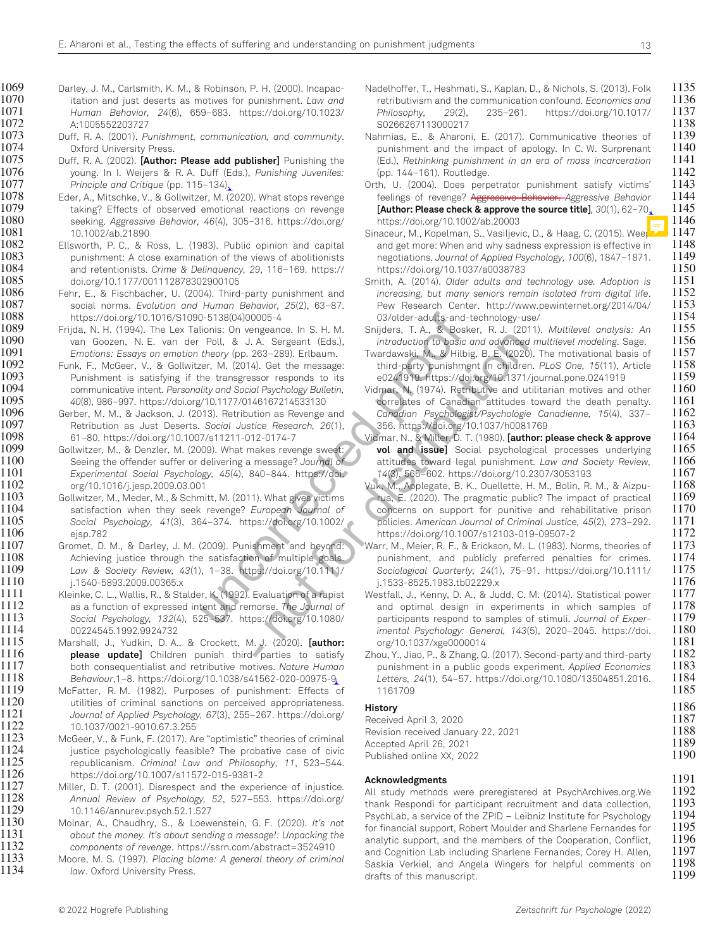taking? Effects of observed emotional reactions on revenge

- 1069 Darley, J. M., Carlsmith, K. M., & Robinson, P. H. (2000). Incapac-<br>1070 itation and just deserts as motives for punishment. *Law and* 1070 itation and just deserts as motives for punishment. *Law and*<br>1071 *Human Behavior, 24(*6), 659-683. https://doi.org/10.1023/ 1071 Human Behavior, 24(6), 659–683. https://doi.org/10.1023/ 1072 A:1005552203727 1073 Duff, R. A. (2001). Punishment, communication, and community. 1074 Oxford University Press. 1075 Duff, R. A. (2002). [Author: Please add publisher] Punishing the 1076 young. In I. Weijers & R. A. Duff (Eds.), Punishing Juveniles: 1077 Principle and Critique (pp. 115–134). 1078 Eder, A., Mitschke, V., & Gollwitzer, M. (2020). What stops revenge<br>1079 taking? Effects of observed emotional reactions on revenge 1080 seeking. Aggressive Behavior, 46(4), 305–316. https://doi.org/ 1081 10.1002/ab.21890 1082 Ellsworth, P. C., & Ross, L. (1983). Public opinion and capital 1083 punishment: A close examination of the views of abolitionists<br>1084 and retentionists. *Crime & Delinguencv. 29.* 116-169. https:// 1084 and retentionists. Crime & Delinquency, 29, 116–169. https:// 1085 doi.org/10.1177/001112878302900105 1086 Fehr, E., & Fischbacher, U. (2004). Third-party punishment and 1087 social norms. Evolution and Human Behavior, 25(2), 63–87. 1088 https://doi.org/10.1016/S1090-5138(04)00005-4 1089 Frijda, N. H. (1994). The Lex Talionis: On vengeance. In S. H. M.<br>1090 van Goozen, N. E. van der Poll, & J. A. Sergeant (Eds.). 1090 van Goozen, N. E. van der Poll, & J. A. Sergeant (Eds.), 1091 Emotions: Essays on emotion theory (pp. 263–289). Erlbaum. 1092 Funk, F., McGeer, V., & Gollwitzer, M. (2014). Get the message:<br>1093 Punishment is satisfying if the transgressor responds to its 1093 Punishment is satisfying if the transgressor responds to its<br>1094 communicative intent *Personality and Social Psychology Bulletin* 1094 communicative intent. Personality and Social Psychology Bulletin,<br>1095 40(8). 986–997. https://doi.org/10.1177/0146167214533130 1095 40(8), 986–997. https://doi.org/10.1177/0146167214533130 1096 Gerber, M. M., & Jackson, J. (2013). Retribution as Revenge and<br>1097 Retribution as Just Deserts. *Social Justice Research. 26*(1). 1097 Retribution as Just Deserts. Social Justice Research, 26(1), 1098 61–80. https://doi.org/10.1007/s11211-012-0174-7
- 1099 Gollwitzer, M., & Denzler, M. (2009). What makes revenge sweet:<br>1100 Seeing the offender suffer or delivering a message? Journal of
- 
- 1101 Experimental Social Psychology, 45(4), 840–844. https://doi. 1102 org/10.1016/j.jesp.2009.03.001
- 1103 Gollwitzer, M., Meder, M., & Schmitt, M. (2011). What gives victims<br>1104 satisfaction when they seek revenge? *European Journal of*
- 1104 satisfaction when they seek revenge? European Journal of
- 1106 ejsp.782
- 1107 Gromet, D. M., & Darley, J. M. (2009). Punishment and beyond: 1108 Achieving justice through the satisfaction of multiple goals.

1109 Law & Society Review, 43(1), 1–38. https://doi.org/10.1111/

- 1110 j.1540-5893.2009.00365.x 1111 Kleinke, C. L., Wallis, R., & Stalder, K. (1992). Evaluation of a rapist as a function of expressed intent and remorse. The Journal of 1113 Social Psychology, 132(4), 525–537. https://doi.org/10.1080/ 1114 00224545.1992.9924732
- Marshall, J., Yudkin, D. A., & Crockett, M. J. (2020). [author: 1116 please update] Children punish third parties to satisfy 1117 both consequentialist and retributive motives. Nature Human 1118 Behaviour,1–8. https://doi.org/10.1038/s41562-020-00975-9

Seeing the offender suffer or delivering a message? Journal of

1105 Social Psychology, 41(3), 364–374. https://doi.org/10.1002/

- 1119 McFatter, R. M. (1982). Purposes of punishment: Effects of 1120 utilities of criminal sanctions on perceived appropriateness. 1121 Journal of Applied Psychology, 67(3), 255–267. https://doi.org/ 1122 10.1037/0021–9010.67.3.255<br>1123 McGeer, V., & Funk. F. (2017). Aı
- 1123 McGeer, V., & Funk, F. (2017). Are "optimistic" theories of criminal 1124 justice psychologically feasible? The probative case of civic 1125 republicanism. *Criminal Law and Philosophy, 11*, 523–544.<br>1126 https://doi.org/10.1007/s11572-015-9381-2 1126 https://doi.org/10.1007/s11572-015-9381-2
- 1127 Miller, D. T. (2001). Disrespect and the experience of injustice. 1128 Annual Review of Psychology, 52, 527–553. https://doi.org/ 1129 10.1146/annurev.psych.52.1.527<br>1130 - Molnar, A., Chaudhrv, S., & Loew
- Molnar, A., Chaudhry, S., & Loewenstein, G. F. (2020). It's not  $1131$  about the money. It's about sending a message!: Unpacking the  $\,$ 1132 components of revenge. https://ssrn.com/abstract=3524910
- 1133 Moore, M. S. (1997). Placing blame: A general theory of criminal<br>1134 law. Oxford University Press. law. Oxford University Press.
- Nadelhoffer, T., Heshmati, S., Kaplan, D., & Nichols, S. (2013). Folk 1135<br>retributivism and the communication confound. Economics and 1136 retributivism and the communication confound. Economics and 1136<br>Philosophy, 29(2), 235-261. https://doi.org/10.1017/ 1137 Philosophy, 29(2), 235–261. https://doi.org/10.1017/ 1137 S0266267113000217<br>htmias. E.. & Aharoni. E. (2017). Communicative theories of 1139
- Nahmias, E., & Aharoni, E. (2017). Communicative theories of 1139 punishment and the impact of apology. In C. W. Surprenant 1140<br>(Ed.), Rethinking punishment in an era of mass incarceration 1141 (Ed.), Rethinking punishment in an era of mass incarceration 1141 (pp. 144–161). Routledge. 1142

Orth, U. (2004). Does perpetrator punishment satisfy victims' 1143<br>feelings of revenge? Aggressive Behavior-Aggressive Behavior 1144 feelings of revenge? Aggressive Behavior. Aggressive Behavior 1144<br>[Author: Please check & approve the source title], 30(1), 62-70, 1145 [Author: Please check & approve the source title],  $30(1)$ ,  $62-70$ , 1145<br>https://doi.org/10.1002/ab.20003

- https://doi.org/10.1002/ab.20003<br>naceur, M., Kopelman, S., Vasiljevic, D., & Haag, C. (2015). Wee Sinaceur, M., Kopelman, S., Vasiljevic, D., & Haag, C. (2015). Weep 1147<br>and get more: When and why sadness expression is effective in 1148 and get more: When and why sadness expression is effective in  $1148$ <br>negotiations. Journal of Applied Psychology. 100(6). 1847–1871.  $1149$ negotiations. Journal of Applied Psychology, 100(6), 1847-1871. 1149<br>https://doi.org/10.1037/a0038783 https://doi.org/10.1037/a0038783 1150<br>nith. A. (2014). Older adults and technology use. Adoption is 1151
- Smith, A. (2014). Older adults and technology use. Adoption is 1151 increasing, but many seniors remain isolated from digital life.  $1152$ <br>Pew Research Center. http://www.pewinternet.org/2014/04/  $1153$ Pew Research Center. http://www.pewinternet.org/2014/04/ 1153 03/older-adults-and-technology-use/<br>iijders, T. A., & Bosker, R. J. (2011). Multilevel analysis: An 1155
- Snijders, T. A., & Bosker, R. J. (2011). Multilevel analysis: An 1155<br>introduction to basic and advanced multilevel modeling. Sage. 1156 introduction to basic and advanced multilevel modeling. Sage.  $1156$ <br>vardawski, M., & Hilbig, B. E. (2020). The motivational basis of  $1157$
- Twardawski, M., & Hilbig, B. E. (2020). The motivational basis of 1157<br>third-party punishment in children. PLoS One, 15(11), Article 1158 third-party punishment in children. PLoS One, 15(11), Article 1158<br>e0241919. https://doi.org/10.1371/journal.pone.0241919 1159 e0241919. https://doi.org/10.1371/journal.pone.0241919 1159<br>Jmar. N. (1974). Retributive and utilitarian motives and other 1160
- Vidmar, N. (1974). Retributive and utilitarian motives and other 1160<br>
correlates of Canadian attitudes toward the death penalty. 1161 correlates of Canadian attitudes toward the death penalty. 1161<br>Canadian Psychologist/Psychologie Canadienne. 15(4). 337- 1162 Canadian Psychologist/Psychologie Canadienne, 15(4), 337-<br>356. https://doi.org/10.1037/h0081769 356. https://doi.org/10.1037/h0081769 1163
- Vidmar, N., & Miller, D. T. (1980). **[author: please check & approve** 1164<br>**vol and issuel** Social psychological processes underlying 1165 **vol and issue]** Social psychological processes underlying 1165<br>attitudes toward legal punishment. Law and Society Review. 1166 attitudes toward legal punishment. Law and Society Review, 14(3), 565–602. https://doi.org/10.2307/3053193 1167<br>k. M., Applegate, B. K., Ouellette, H. M., Bolin, R. M., & Aizpu- 1168
- 03/older-adults-and-<br>
105138(04)00005-4<br>
1061s: On vengeance. In S. H. M. Snijders, T. A., & Bosk<br>
Pholl, & J. A. Sergeant (Eds.), introduction to basic theory (pp. 263–289). Erlbaum. Twardawski, M. & Hilbig<br>
106. Theory Vuk, M., Applegate, B. K., Ouellette, H. M., Bolin, R. M., & Aizpu- 1168 rua, E. (2020). The pragmatic public? The impact of practical  $1169$ <br>concerns on support for punitive and rehabilitative prison  $1170$ concerns on support for punitive and rehabilitative prison 1170<br>policies American Journal of Criminal Justice 45(2) 273-292. 1171 policies. American Journal of Criminal Justice, 45(2), 273-292. https://doi.org/10.1007/s12103-019-09507-2 1172<br>arr, M., Meier, R. F., & Erickson, M. L. (1983). Norms, theories of 1173
	- Warr, M., Meier, R. F., & Erickson, M. L. (1983). Norms, theories of  $1173$ <br>punishment. and publicly preferred penalties for crimes.  $1174$ punishment, and publicly preferred penalties for crimes. 1174<br>Sociological Quarterly. 24(1). 75-91. https://doi.org/10.1111/ 1175 Sociological Quarterly, 24(1), 75–91. https://doi.org/10.1111/ 1175<br>j.1533-8525.1983.tb02229.x 1176 j.1533-8525.1983.tb02229.x 1176
	- A. Sergeant (Eds.), introduction to basic and advanced<br>
	263–289). Eribaum. Twardawski, M., & Hilbig, B. E. (2020)<br>
	46167214533130<br>
	Serve responds to its energiant in children in children<br>
	46167214533130<br>
	and experiment in Westfall, J., Kenny, D. A., & Judd, C. M. (2014). Statistical power 1177<br>and optimal design in experiments in which samples of 1178 and optimal design in experiments in which samples of 1178<br>participants respond to samples of stimuli. Journal of Exper- 1179 participants respond to samples of stimuli. Journal of Exper-<br>imental Psychology: General. 143(5). 2020-2045. https://doi. 1180 imental Psychology: General, 143(5), 2020–2045. https://doi. 1180 org/10.1037/xge0000014
		- Zhou, Y., Jiao, P., & Zhang, Q. (2017). Second-party and third-party  $1182$ punishment in a public goods experiment. Applied Economics 1183<br>Letters. 24(1). 54–57. https://doi.org/10.1080/13504851.2016. 1184 Letters, 24(1), 54–57. https://doi.org/10.1080/13504851.2016. 1184 1161709 **1185**

| History                            | 1186 |
|------------------------------------|------|
| Received April 3, 2020             | 1187 |
| Revision received January 22, 2021 | 1188 |
| Accepted April 26, 2021            | 1189 |
| Published online XX, 2022          | 1190 |

**Acknowledgments** 1191<br>All study methods were preregistered at PsychArchives.org.We 1192 All study methods were preregistered at PsychArchives.org.We 1192<br>thank Respondi for participant recruitment and data collection. 1193 thank Respondi for participant recruitment and data collection, PsychLab, a service of the ZPID – Leibniz Institute for Psychology  $1194$ for financial support, Robert Moulder and Sharlene Fernandes for 1195<br>analytic support and the members of the Cooperation Conflict 1196 analytic support, and the members of the Cooperation, Conflict, 1196<br>and Cognition Lab including Sharlene Fernandes. Corev H. Allen. 1197 and Cognition Lab including Sharlene Fernandes, Corey H. Allen, 1197<br>Saskia Verkiel, and Angela Wingers for helpful comments on 1198 Saskia Verkiel, and Angela Wingers for helpful comments on 1198 drafts of this manuscript.